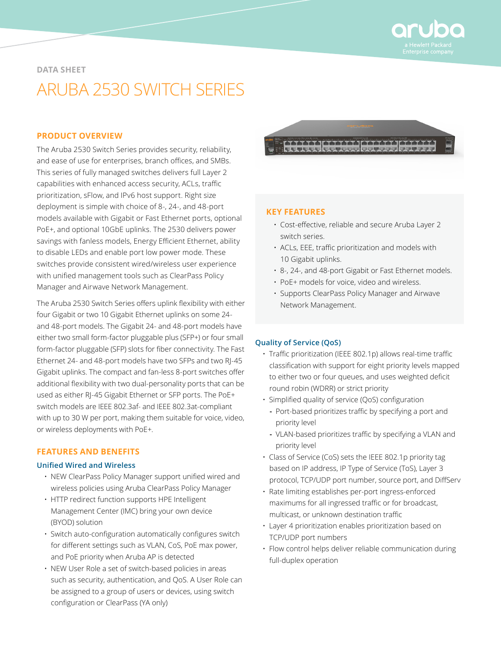

#### **DATA SHEET**

# ARUBA 2530 SWITCH SERIES

## **PRODUCT OVERVIEW**

The Aruba 2530 Switch Series provides security, reliability, and ease of use for enterprises, branch offices, and SMBs. This series of fully managed switches delivers full Layer 2 capabilities with enhanced access security, ACLs, traffic prioritization, sFlow, and IPv6 host support. Right size deployment is simple with choice of 8-, 24-, and 48-port models available with Gigabit or Fast Ethernet ports, optional PoE+, and optional 10GbE uplinks. The 2530 delivers power savings with fanless models, Energy Efficient Ethernet, ability to disable LEDs and enable port low power mode. These switches provide consistent wired/wireless user experience with unified management tools such as ClearPass Policy Manager and Airwave Network Management.

The Aruba 2530 Switch Series offers uplink flexibility with either four Gigabit or two 10 Gigabit Ethernet uplinks on some 24 and 48-port models. The Gigabit 24- and 48-port models have either two small form-factor pluggable plus (SFP+) or four small form-factor pluggable (SFP) slots for fiber connectivity. The Fast Ethernet 24- and 48-port models have two SFPs and two RJ-45 Gigabit uplinks. The compact and fan-less 8-port switches offer additional flexibility with two dual-personality ports that can be used as either RJ-45 Gigabit Ethernet or SFP ports. The PoE+ switch models are IEEE 802.3af- and IEEE 802.3at-compliant with up to 30 W per port, making them suitable for voice, video, or wireless deployments with PoE+.

#### **FEATURES AND BENEFITS**

#### **Unified Wired and Wireless**

- NEW ClearPass Policy Manager support unified wired and wireless policies using Aruba ClearPass Policy Manager
- HTTP redirect function supports HPE Intelligent Management Center (IMC) bring your own device (BYOD) solution
- Switch auto-configuration automatically configures switch for different settings such as VLAN, CoS, PoE max power, and PoE priority when Aruba AP is detected
- NEW User Role a set of switch-based policies in areas such as security, authentication, and QoS. A User Role can be assigned to a group of users or devices, using switch configuration or ClearPass (YA only)



#### **KEY FEATURES**

- Cost-effective, reliable and secure Aruba Layer 2 switch series.
- ACLs, EEE, traffic prioritization and models with 10 Gigabit uplinks.
- 8-, 24-, and 48-port Gigabit or Fast Ethernet models.
- PoE+ models for voice, video and wireless.
- Supports ClearPass Policy Manager and Airwave Network Management.

#### **Quality of Service (QoS)**

- Traffic prioritization (IEEE 802.1p) allows real-time traffic classification with support for eight priority levels mapped to either two or four queues, and uses weighted deficit round robin (WDRR) or strict priority
- Simplified quality of service (QoS) configuration
	- **-** Port-based prioritizes traffic by specifying a port and priority level
	- **-** VLAN-based prioritizes traffic by specifying a VLAN and priority level
- Class of Service (CoS) sets the IEEE 802.1p priority tag based on IP address, IP Type of Service (ToS), Layer 3 protocol, TCP/UDP port number, source port, and DiffServ
- Rate limiting establishes per-port ingress-enforced maximums for all ingressed traffic or for broadcast, multicast, or unknown destination traffic
- Layer 4 prioritization enables prioritization based on TCP/UDP port numbers
- Flow control helps deliver reliable communication during full-duplex operation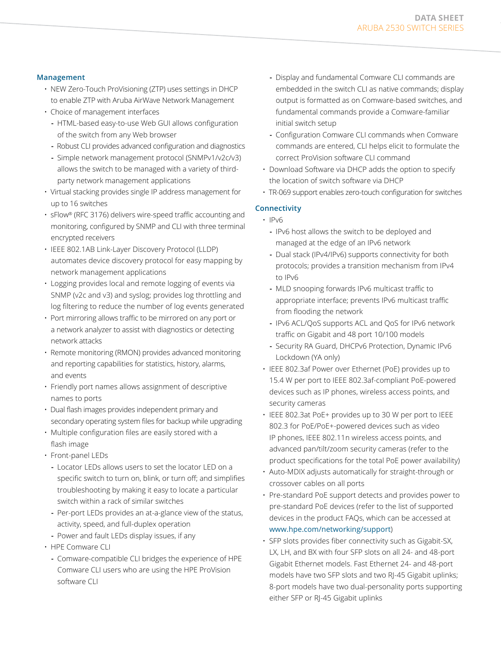#### **Management**

- NEW Zero-Touch ProVisioning (ZTP) uses settings in DHCP to enable ZTP with Aruba AirWave Network Management
- Choice of management interfaces
	- **-** HTML-based easy-to-use Web GUI allows configuration of the switch from any Web browser
	- **-** Robust CLI provides advanced configuration and diagnostics
- **-** Simple network management protocol (SNMPv1/v2c/v3) allows the switch to be managed with a variety of thirdparty network management applications
- Virtual stacking provides single IP address management for up to 16 switches
- sFlow® (RFC 3176) delivers wire-speed traffic accounting and monitoring, configured by SNMP and CLI with three terminal encrypted receivers
- IEEE 802.1AB Link-Layer Discovery Protocol (LLDP) automates device discovery protocol for easy mapping by network management applications
- Logging provides local and remote logging of events via SNMP (v2c and v3) and syslog; provides log throttling and log filtering to reduce the number of log events generated
- Port mirroring allows traffic to be mirrored on any port or a network analyzer to assist with diagnostics or detecting network attacks
- Remote monitoring (RMON) provides advanced monitoring and reporting capabilities for statistics, history, alarms, and events
- Friendly port names allows assignment of descriptive names to ports
- Dual flash images provides independent primary and secondary operating system files for backup while upgrading
- Multiple configuration files are easily stored with a flash image
- Front-panel LEDs
	- **-** Locator LEDs allows users to set the locator LED on a specific switch to turn on, blink, or turn off; and simplifies troubleshooting by making it easy to locate a particular switch within a rack of similar switches
	- **-** Per-port LEDs provides an at-a-glance view of the status, activity, speed, and full-duplex operation
	- **-** Power and fault LEDs display issues, if any
- HPE Comware CLI
	- **-** Comware-compatible CLI bridges the experience of HPE Comware CLI users who are using the HPE ProVision software CLI
- **-** Display and fundamental Comware CLI commands are embedded in the switch CLI as native commands; display output is formatted as on Comware-based switches, and fundamental commands provide a Comware-familiar initial switch setup
- **-** Configuration Comware CLI commands when Comware commands are entered, CLI helps elicit to formulate the correct ProVision software CLI command
- Download Software via DHCP adds the option to specify the location of switch software via DHCP
- TR-069 support enables zero-touch configuration for switches

# **Connectivity**

- IPv6
	- **-** IPv6 host allows the switch to be deployed and managed at the edge of an IPv6 network
	- **-** Dual stack (IPv4/IPv6) supports connectivity for both protocols; provides a transition mechanism from IPv4 to IPv6
	- **-** MLD snooping forwards IPv6 multicast traffic to appropriate interface; prevents IPv6 multicast traffic from flooding the network
	- **-** IPv6 ACL/QoS supports ACL and QoS for IPv6 network traffic on Gigabit and 48 port 10/100 models
	- **-** Security RA Guard, DHCPv6 Protection, Dynamic IPv6 Lockdown (YA only)
- IEEE 802.3af Power over Ethernet (PoE) provides up to 15.4 W per port to IEEE 802.3af-compliant PoE-powered devices such as IP phones, wireless access points, and security cameras
- IEEE 802.3at PoE+ provides up to 30 W per port to IEEE 802.3 for PoE/PoE+-powered devices such as video IP phones, IEEE 802.11n wireless access points, and advanced pan/tilt/zoom security cameras (refer to the product specifications for the total PoE power availability)
- Auto-MDIX adjusts automatically for straight-through or crossover cables on all ports
- Pre-standard PoE support detects and provides power to pre-standard PoE devices (refer to the list of supported devices in the product FAQs, which can be accessed at [www.hpe.com/networking/support](http://www.hpe.com/networking/support))
- SFP slots provides fiber connectivity such as Gigabit-SX, LX, LH, and BX with four SFP slots on all 24- and 48-port Gigabit Ethernet models. Fast Ethernet 24- and 48-port models have two SFP slots and two RJ-45 Gigabit uplinks; 8-port models have two dual-personality ports supporting either SFP or RJ-45 Gigabit uplinks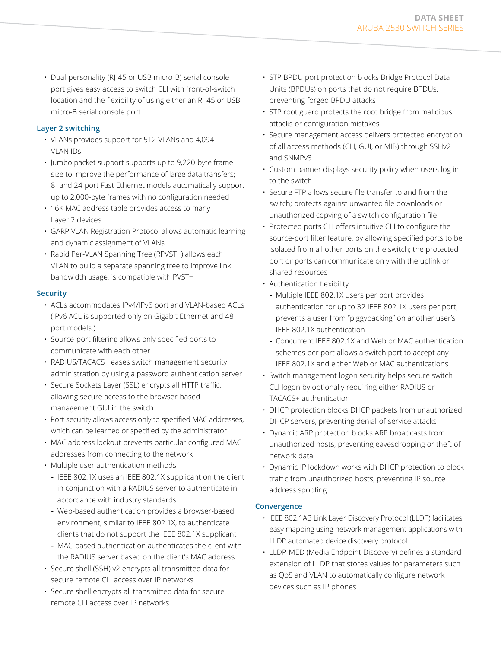• Dual-personality (RJ-45 or USB micro-B) serial console port gives easy access to switch CLI with front-of-switch location and the flexibility of using either an RJ-45 or USB micro-B serial console port

# **Layer 2 switching**

- VLANs provides support for 512 VLANs and 4,094 VLAN IDs
- Jumbo packet support supports up to 9,220-byte frame size to improve the performance of large data transfers; 8- and 24-port Fast Ethernet models automatically support up to 2,000-byte frames with no configuration needed
- 16K MAC address table provides access to many Layer 2 devices
- GARP VLAN Registration Protocol allows automatic learning and dynamic assignment of VLANs
- Rapid Per-VLAN Spanning Tree (RPVST+) allows each VLAN to build a separate spanning tree to improve link bandwidth usage; is compatible with PVST+

#### **Security**

- ACLs accommodates IPv4/IPv6 port and VLAN-based ACLs (IPv6 ACL is supported only on Gigabit Ethernet and 48 port models.)
- Source-port filtering allows only specified ports to communicate with each other
- RADIUS/TACACS+ eases switch management security administration by using a password authentication server
- Secure Sockets Layer (SSL) encrypts all HTTP traffic, allowing secure access to the browser-based management GUI in the switch
- Port security allows access only to specified MAC addresses, which can be learned or specified by the administrator
- MAC address lockout prevents particular configured MAC addresses from connecting to the network
- Multiple user authentication methods
	- **-** IEEE 802.1X uses an IEEE 802.1X supplicant on the client in conjunction with a RADIUS server to authenticate in accordance with industry standards
	- **-** Web-based authentication provides a browser-based environment, similar to IEEE 802.1X, to authenticate clients that do not support the IEEE 802.1X supplicant
	- **-** MAC-based authentication authenticates the client with the RADIUS server based on the client's MAC address
- Secure shell (SSH) v2 encrypts all transmitted data for secure remote CLI access over IP networks
- Secure shell encrypts all transmitted data for secure remote CLI access over IP networks
- STP BPDU port protection blocks Bridge Protocol Data Units (BPDUs) on ports that do not require BPDUs, preventing forged BPDU attacks
- STP root guard protects the root bridge from malicious attacks or configuration mistakes
- Secure management access delivers protected encryption of all access methods (CLI, GUI, or MIB) through SSHv2 and SNMPv3
- Custom banner displays security policy when users log in to the switch
- Secure FTP allows secure file transfer to and from the switch; protects against unwanted file downloads or unauthorized copying of a switch configuration file
- Protected ports CLI offers intuitive CLI to configure the source-port filter feature, by allowing specified ports to be isolated from all other ports on the switch; the protected port or ports can communicate only with the uplink or shared resources
- Authentication flexibility
	- **-** Multiple IEEE 802.1X users per port provides authentication for up to 32 IEEE 802.1X users per port; prevents a user from "piggybacking" on another user's IEEE 802.1X authentication
	- **-** Concurrent IEEE 802.1X and Web or MAC authentication schemes per port allows a switch port to accept any IEEE 802.1X and either Web or MAC authentications
- Switch management logon security helps secure switch CLI logon by optionally requiring either RADIUS or TACACS+ authentication
- DHCP protection blocks DHCP packets from unauthorized DHCP servers, preventing denial-of-service attacks
- Dynamic ARP protection blocks ARP broadcasts from unauthorized hosts, preventing eavesdropping or theft of network data
- Dynamic IP lockdown works with DHCP protection to block traffic from unauthorized hosts, preventing IP source address spoofing

#### **Convergence**

- IEEE 802.1AB Link Layer Discovery Protocol (LLDP) facilitates easy mapping using network management applications with LLDP automated device discovery protocol
- LLDP-MED (Media Endpoint Discovery) defines a standard extension of LLDP that stores values for parameters such as QoS and VLAN to automatically configure network devices such as IP phones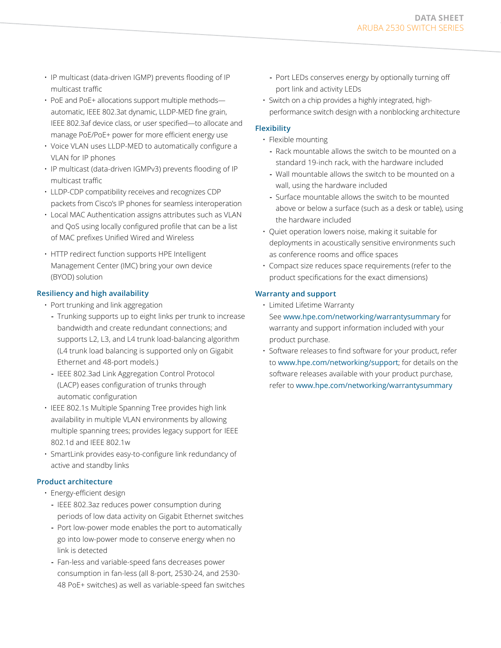- IP multicast (data-driven IGMP) prevents flooding of IP multicast traffic
- PoE and PoE+ allocations support multiple methods automatic, IEEE 802.3at dynamic, LLDP-MED fine grain, IEEE 802.3af device class, or user specified—to allocate and manage PoE/PoE+ power for more efficient energy use
- Voice VLAN uses LLDP-MED to automatically configure a VLAN for IP phones
- IP multicast (data-driven IGMPv3) prevents flooding of IP multicast traffic
- LLDP-CDP compatibility receives and recognizes CDP packets from Cisco's IP phones for seamless interoperation
- Local MAC Authentication assigns attributes such as VLAN and QoS using locally configured profile that can be a list of MAC prefixes Unified Wired and Wireless
- HTTP redirect function supports HPE Intelligent Management Center (IMC) bring your own device (BYOD) solution

#### **Resiliency and high availability**

- Port trunking and link aggregation
	- **-** Trunking supports up to eight links per trunk to increase bandwidth and create redundant connections; and supports L2, L3, and L4 trunk load-balancing algorithm (L4 trunk load balancing is supported only on Gigabit Ethernet and 48-port models.)
	- **-** IEEE 802.3ad Link Aggregation Control Protocol (LACP) eases configuration of trunks through automatic configuration
- IEEE 802.1s Multiple Spanning Tree provides high link availability in multiple VLAN environments by allowing multiple spanning trees; provides legacy support for IEEE 802.1d and IEEE 802.1w
- SmartLink provides easy-to-configure link redundancy of active and standby links

# **Product architecture**

- Energy-efficient design
	- **-** IEEE 802.3az reduces power consumption during periods of low data activity on Gigabit Ethernet switches
	- **-** Port low-power mode enables the port to automatically go into low-power mode to conserve energy when no link is detected
	- **-** Fan-less and variable-speed fans decreases power consumption in fan-less (all 8-port, 2530-24, and 2530- 48 PoE+ switches) as well as variable-speed fan switches
- **-** Port LEDs conserves energy by optionally turning off port link and activity LEDs
- Switch on a chip provides a highly integrated, highperformance switch design with a nonblocking architecture

# **Flexibility**

- Flexible mounting
	- **-** Rack mountable allows the switch to be mounted on a standard 19-inch rack, with the hardware included
	- **-** Wall mountable allows the switch to be mounted on a wall, using the hardware included
	- **-** Surface mountable allows the switch to be mounted above or below a surface (such as a desk or table), using the hardware included
- Quiet operation lowers noise, making it suitable for deployments in acoustically sensitive environments such as conference rooms and office spaces
- Compact size reduces space requirements (refer to the product specifications for the exact dimensions)

# **Warranty and support**

- Limited Lifetime Warranty See [www.hpe.com/networking/warrantysummary](http://www.hpe.com/networking/warrantysummary) for warranty and support information included with your product purchase.
- Software releases to find software for your product, refer to [www.hpe.com/networking/support](http://www.hpe.com/networking/support); for details on the software releases available with your product purchase, refer to [www.hpe.com/networking/warrantysummary](http://www.hpe.com/networking/warrantysummary)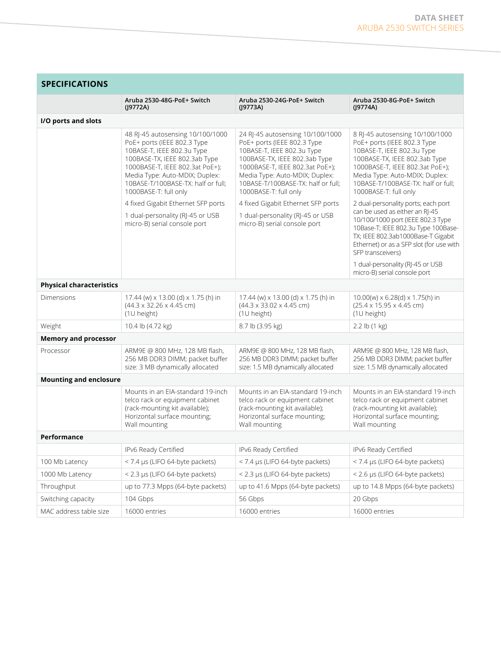| <b>SPECIFICATIONS</b>           |                                                                                                                                                                                                                                                                    |                                                                                                                                                                                                                                                                    |                                                                                                                                                                                                                                                                   |  |
|---------------------------------|--------------------------------------------------------------------------------------------------------------------------------------------------------------------------------------------------------------------------------------------------------------------|--------------------------------------------------------------------------------------------------------------------------------------------------------------------------------------------------------------------------------------------------------------------|-------------------------------------------------------------------------------------------------------------------------------------------------------------------------------------------------------------------------------------------------------------------|--|
|                                 | Aruba 2530-48G-PoE+ Switch<br>(19772A)                                                                                                                                                                                                                             | Aruba 2530-24G-PoE+ Switch<br>(19773A)                                                                                                                                                                                                                             | Aruba 2530-8G-PoE+ Switch<br>(19774A)                                                                                                                                                                                                                             |  |
| I/O ports and slots             |                                                                                                                                                                                                                                                                    |                                                                                                                                                                                                                                                                    |                                                                                                                                                                                                                                                                   |  |
|                                 | 48 RJ-45 autosensing 10/100/1000<br>PoE+ ports (IEEE 802.3 Type<br>10BASE-T, IEEE 802.3u Type<br>100BASE-TX, IEEE 802.3ab Type<br>1000BASE-T, IEEE 802.3at PoE+);<br>Media Type: Auto-MDIX; Duplex:<br>10BASE-T/100BASE-TX: half or full;<br>1000BASE-T: full only | 24 RJ-45 autosensing 10/100/1000<br>PoE+ ports (IEEE 802.3 Type<br>10BASE-T, IEEE 802.3u Type<br>100BASE-TX, IEEE 802.3ab Type<br>1000BASE-T, IEEE 802.3at PoE+);<br>Media Type: Auto-MDIX; Duplex:<br>10BASE-T/100BASE-TX: half or full;<br>1000BASE-T: full only | 8 RJ-45 autosensing 10/100/1000<br>PoE+ ports (IEEE 802.3 Type<br>10BASE-T, IEEE 802.3u Type<br>100BASE-TX, IEEE 802.3ab Type<br>1000BASE-T, IEEE 802.3at PoE+);<br>Media Type: Auto-MDIX; Duplex:<br>10BASE-T/100BASE-TX: half or full;<br>1000BASE-T: full only |  |
|                                 | 4 fixed Gigabit Ethernet SFP ports                                                                                                                                                                                                                                 | 4 fixed Gigabit Ethernet SFP ports                                                                                                                                                                                                                                 | 2 dual-personality ports; each port                                                                                                                                                                                                                               |  |
|                                 | 1 dual-personality (RJ-45 or USB<br>micro-B) serial console port                                                                                                                                                                                                   | 1 dual-personality (RJ-45 or USB<br>micro-B) serial console port                                                                                                                                                                                                   | can be used as either an RJ-45<br>10/100/1000 port (IEEE 802.3 Type<br>10Base-T; IEEE 802.3u Type 100Base-<br>TX; IEEE 802.3ab1000Base-T Gigabit<br>Ethernet) or as a SFP slot (for use with<br>SFP transceivers)                                                 |  |
|                                 |                                                                                                                                                                                                                                                                    |                                                                                                                                                                                                                                                                    | 1 dual-personality (RJ-45 or USB<br>micro-B) serial console port                                                                                                                                                                                                  |  |
| <b>Physical characteristics</b> |                                                                                                                                                                                                                                                                    |                                                                                                                                                                                                                                                                    |                                                                                                                                                                                                                                                                   |  |
| Dimensions                      | 17.44 (w) x 13.00 (d) x 1.75 (h) in<br>$(44.3 \times 32.26 \times 4.45$ cm)<br>(1U height)                                                                                                                                                                         | 17.44 (w) x 13.00 (d) x 1.75 (h) in<br>$(44.3 \times 33.02 \times 4.45$ cm)<br>(1U height)                                                                                                                                                                         | $10.00(w) \times 6.28(d) \times 1.75(h)$ in<br>$(25.4 \times 15.95 \times 4.45$ cm)<br>(1U height)                                                                                                                                                                |  |
| Weight                          | 10.4 lb (4.72 kg)                                                                                                                                                                                                                                                  | 8.7 lb (3.95 kg)                                                                                                                                                                                                                                                   | 2.2 lb (1 kg)                                                                                                                                                                                                                                                     |  |
| <b>Memory and processor</b>     |                                                                                                                                                                                                                                                                    |                                                                                                                                                                                                                                                                    |                                                                                                                                                                                                                                                                   |  |
| Processor                       | ARM9E @ 800 MHz, 128 MB flash,<br>256 MB DDR3 DIMM; packet buffer<br>size: 3 MB dynamically allocated                                                                                                                                                              | ARM9E @ 800 MHz, 128 MB flash,<br>256 MB DDR3 DIMM; packet buffer<br>size: 1.5 MB dynamically allocated                                                                                                                                                            | ARM9E @ 800 MHz, 128 MB flash,<br>256 MB DDR3 DIMM; packet buffer<br>size: 1.5 MB dynamically allocated                                                                                                                                                           |  |
| <b>Mounting and enclosure</b>   |                                                                                                                                                                                                                                                                    |                                                                                                                                                                                                                                                                    |                                                                                                                                                                                                                                                                   |  |
|                                 | Mounts in an EIA-standard 19-inch<br>telco rack or equipment cabinet<br>(rack-mounting kit available);<br>Horizontal surface mounting;<br>Wall mounting                                                                                                            | Mounts in an EIA-standard 19-inch<br>telco rack or equipment cabinet<br>(rack-mounting kit available);<br>Horizontal surface mounting;<br>Wall mounting                                                                                                            | Mounts in an EIA-standard 19-inch<br>telco rack or equipment cabinet<br>(rack-mounting kit available);<br>Horizontal surface mounting,<br>Wall mounting                                                                                                           |  |
| Performance                     |                                                                                                                                                                                                                                                                    |                                                                                                                                                                                                                                                                    |                                                                                                                                                                                                                                                                   |  |
|                                 | IPv6 Ready Certified                                                                                                                                                                                                                                               | IPv6 Ready Certified                                                                                                                                                                                                                                               | IPv6 Ready Certified                                                                                                                                                                                                                                              |  |
| 100 Mb Latency                  | < 7.4 µs (LIFO 64-byte packets)                                                                                                                                                                                                                                    | < 7.4 µs (LIFO 64-byte packets)                                                                                                                                                                                                                                    | < 7.4 µs (LIFO 64-byte packets)                                                                                                                                                                                                                                   |  |
| 1000 Mb Latency                 | < 2.3 µs (LIFO 64-byte packets)                                                                                                                                                                                                                                    | < 2.3 µs (LIFO 64-byte packets)                                                                                                                                                                                                                                    | < 2.6 µs (LIFO 64-byte packets)                                                                                                                                                                                                                                   |  |
| Throughput                      | up to 77.3 Mpps (64-byte packets)                                                                                                                                                                                                                                  | up to 41.6 Mpps (64-byte packets)                                                                                                                                                                                                                                  | up to 14.8 Mpps (64-byte packets)                                                                                                                                                                                                                                 |  |
| Switching capacity              | 104 Gbps                                                                                                                                                                                                                                                           | 56 Gbps                                                                                                                                                                                                                                                            | 20 Gbps                                                                                                                                                                                                                                                           |  |
| MAC address table size          | 16000 entries                                                                                                                                                                                                                                                      | 16000 entries                                                                                                                                                                                                                                                      | 16000 entries                                                                                                                                                                                                                                                     |  |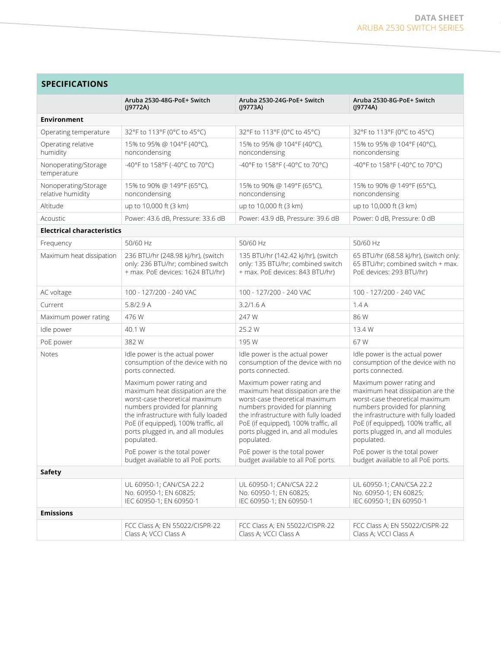| <b>SPECIFICATIONS</b>                     |                                                                                                                                                                                                                                                                    |                                                                                                                                                                                                                                                                    |                                                                                                                                                                                                                                                                    |  |
|-------------------------------------------|--------------------------------------------------------------------------------------------------------------------------------------------------------------------------------------------------------------------------------------------------------------------|--------------------------------------------------------------------------------------------------------------------------------------------------------------------------------------------------------------------------------------------------------------------|--------------------------------------------------------------------------------------------------------------------------------------------------------------------------------------------------------------------------------------------------------------------|--|
|                                           | Aruba 2530-48G-PoE+ Switch<br>(19772A)                                                                                                                                                                                                                             | Aruba 2530-24G-PoE+ Switch<br>(J9773A)                                                                                                                                                                                                                             | Aruba 2530-8G-PoE+ Switch<br>(19774A)                                                                                                                                                                                                                              |  |
| <b>Environment</b>                        |                                                                                                                                                                                                                                                                    |                                                                                                                                                                                                                                                                    |                                                                                                                                                                                                                                                                    |  |
| Operating temperature                     | 32°F to 113°F (0°C to 45°C)                                                                                                                                                                                                                                        | 32°F to 113°F (0°C to 45°C)                                                                                                                                                                                                                                        | 32°F to 113°F (0°C to 45°C)                                                                                                                                                                                                                                        |  |
| Operating relative<br>humidity            | 15% to 95% @ 104°F (40°C),<br>noncondensing                                                                                                                                                                                                                        | 15% to 95% @ 104°F (40°C),<br>noncondensing                                                                                                                                                                                                                        | 15% to 95% @ 104°F (40°C),<br>noncondensing                                                                                                                                                                                                                        |  |
| Nonoperating/Storage<br>temperature       | -40°F to 158°F (-40°C to 70°C)                                                                                                                                                                                                                                     | -40°F to 158°F (-40°C to 70°C)                                                                                                                                                                                                                                     | -40°F to 158°F (-40°C to 70°C)                                                                                                                                                                                                                                     |  |
| Nonoperating/Storage<br>relative humidity | 15% to 90% @ 149°F (65°C),<br>noncondensing                                                                                                                                                                                                                        | 15% to 90% @ 149°F (65°C),<br>noncondensing                                                                                                                                                                                                                        | 15% to 90% @ 149°F (65°C),<br>noncondensing                                                                                                                                                                                                                        |  |
| Altitude                                  | up to 10,000 ft (3 km)                                                                                                                                                                                                                                             | up to 10,000 ft (3 km)                                                                                                                                                                                                                                             | up to 10,000 ft (3 km)                                                                                                                                                                                                                                             |  |
| Acoustic                                  | Power: 43.6 dB, Pressure: 33.6 dB                                                                                                                                                                                                                                  | Power: 43.9 dB, Pressure: 39.6 dB                                                                                                                                                                                                                                  | Power: 0 dB, Pressure: 0 dB                                                                                                                                                                                                                                        |  |
| <b>Electrical characteristics</b>         |                                                                                                                                                                                                                                                                    |                                                                                                                                                                                                                                                                    |                                                                                                                                                                                                                                                                    |  |
| Frequency                                 | 50/60 Hz                                                                                                                                                                                                                                                           | 50/60 Hz                                                                                                                                                                                                                                                           | 50/60 Hz                                                                                                                                                                                                                                                           |  |
| Maximum heat dissipation                  | 236 BTU/hr (248.98 kJ/hr), (switch<br>only: 236 BTU/hr; combined switch<br>+ max. PoE devices: 1624 BTU/hr)                                                                                                                                                        | 135 BTU/hr (142.42 kJ/hr), (switch<br>only: 135 BTU/hr; combined switch<br>+ max. PoE devices: 843 BTU/hr)                                                                                                                                                         | 65 BTU/hr (68.58 kJ/hr), (switch only:<br>65 BTU/hr; combined switch + max.<br>PoE devices: 293 BTU/hr)                                                                                                                                                            |  |
| AC voltage                                | 100 - 127/200 - 240 VAC                                                                                                                                                                                                                                            | 100 - 127/200 - 240 VAC                                                                                                                                                                                                                                            | 100 - 127/200 - 240 VAC                                                                                                                                                                                                                                            |  |
| Current                                   | 5.8/2.9A                                                                                                                                                                                                                                                           | 3.2/1.6 A                                                                                                                                                                                                                                                          | 1.4A                                                                                                                                                                                                                                                               |  |
| Maximum power rating                      | 476 W                                                                                                                                                                                                                                                              | 247 W                                                                                                                                                                                                                                                              | 86 W                                                                                                                                                                                                                                                               |  |
| Idle power                                | 40.1 W                                                                                                                                                                                                                                                             | 25.2 W                                                                                                                                                                                                                                                             | 13.4 W                                                                                                                                                                                                                                                             |  |
| PoE power                                 | 382W                                                                                                                                                                                                                                                               | 195 W                                                                                                                                                                                                                                                              | 67 W                                                                                                                                                                                                                                                               |  |
| Notes                                     | Idle power is the actual power<br>consumption of the device with no<br>ports connected.                                                                                                                                                                            | Idle power is the actual power<br>consumption of the device with no<br>ports connected.                                                                                                                                                                            | Idle power is the actual power<br>consumption of the device with no<br>ports connected.                                                                                                                                                                            |  |
|                                           | Maximum power rating and<br>maximum heat dissipation are the<br>worst-case theoretical maximum<br>numbers provided for planning<br>the infrastructure with fully loaded<br>PoE (if equipped), 100% traffic, all<br>ports plugged in, and all modules<br>populated. | Maximum power rating and<br>maximum heat dissipation are the<br>worst-case theoretical maximum<br>numbers provided for planning<br>the infrastructure with fully loaded<br>PoE (if equipped), 100% traffic, all<br>ports plugged in, and all modules<br>populated. | Maximum power rating and<br>maximum heat dissipation are the<br>worst-case theoretical maximum<br>numbers provided for planning<br>the infrastructure with fully loaded<br>PoE (if equipped), 100% traffic, all<br>ports plugged in, and all modules<br>populated. |  |
|                                           | PoE power is the total power<br>budget available to all PoE ports.                                                                                                                                                                                                 | PoE power is the total power<br>budget available to all PoE ports.                                                                                                                                                                                                 | PoE power is the total power<br>budget available to all PoE ports.                                                                                                                                                                                                 |  |
| Safety                                    |                                                                                                                                                                                                                                                                    |                                                                                                                                                                                                                                                                    |                                                                                                                                                                                                                                                                    |  |
|                                           | UL 60950-1; CAN/CSA 22.2<br>No. 60950-1; EN 60825;<br>IEC 60950-1; EN 60950-1                                                                                                                                                                                      | UL 60950-1; CAN/CSA 22.2<br>No. 60950-1; EN 60825;<br>IEC 60950-1; EN 60950-1                                                                                                                                                                                      | UL 60950-1; CAN/CSA 22.2<br>No. 60950-1; EN 60825;<br>IEC 60950-1; EN 60950-1                                                                                                                                                                                      |  |
| <b>Emissions</b>                          |                                                                                                                                                                                                                                                                    |                                                                                                                                                                                                                                                                    |                                                                                                                                                                                                                                                                    |  |
|                                           | FCC Class A; EN 55022/CISPR-22<br>Class A; VCCI Class A                                                                                                                                                                                                            | FCC Class A; EN 55022/CISPR-22<br>Class A; VCCI Class A                                                                                                                                                                                                            | FCC Class A; EN 55022/CISPR-22<br>Class A; VCCI Class A                                                                                                                                                                                                            |  |
|                                           |                                                                                                                                                                                                                                                                    |                                                                                                                                                                                                                                                                    |                                                                                                                                                                                                                                                                    |  |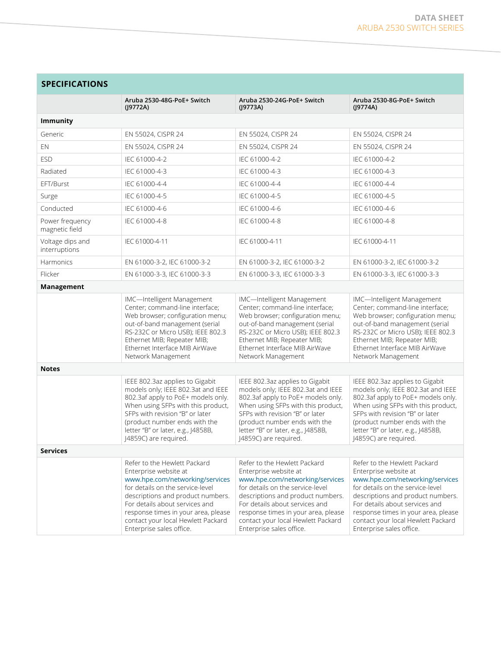| <b>SPECIFICATIONS</b>             |                                                                                                                                                                                                                                                                                                              |                                                                                                                                                                                                                                                                                                              |                                                                                                                                                                                                                                                                                                              |  |  |
|-----------------------------------|--------------------------------------------------------------------------------------------------------------------------------------------------------------------------------------------------------------------------------------------------------------------------------------------------------------|--------------------------------------------------------------------------------------------------------------------------------------------------------------------------------------------------------------------------------------------------------------------------------------------------------------|--------------------------------------------------------------------------------------------------------------------------------------------------------------------------------------------------------------------------------------------------------------------------------------------------------------|--|--|
|                                   | Aruba 2530-48G-PoE+ Switch<br>(19772A)                                                                                                                                                                                                                                                                       | Aruba 2530-24G-PoE+ Switch<br>(19773A)                                                                                                                                                                                                                                                                       | Aruba 2530-8G-PoE+ Switch<br>(19774A)                                                                                                                                                                                                                                                                        |  |  |
| Immunity                          |                                                                                                                                                                                                                                                                                                              |                                                                                                                                                                                                                                                                                                              |                                                                                                                                                                                                                                                                                                              |  |  |
| Generic                           | EN 55024, CISPR 24                                                                                                                                                                                                                                                                                           | EN 55024, CISPR 24                                                                                                                                                                                                                                                                                           | EN 55024, CISPR 24                                                                                                                                                                                                                                                                                           |  |  |
| EN                                | EN 55024, CISPR 24                                                                                                                                                                                                                                                                                           | EN 55024, CISPR 24                                                                                                                                                                                                                                                                                           | EN 55024, CISPR 24                                                                                                                                                                                                                                                                                           |  |  |
| <b>ESD</b>                        | IEC 61000-4-2                                                                                                                                                                                                                                                                                                | IEC 61000-4-2                                                                                                                                                                                                                                                                                                | IEC 61000-4-2                                                                                                                                                                                                                                                                                                |  |  |
| Radiated                          | IEC 61000-4-3                                                                                                                                                                                                                                                                                                | IEC 61000-4-3                                                                                                                                                                                                                                                                                                | IEC 61000-4-3                                                                                                                                                                                                                                                                                                |  |  |
| EFT/Burst                         | IEC 61000-4-4                                                                                                                                                                                                                                                                                                | IEC 61000-4-4                                                                                                                                                                                                                                                                                                | IEC 61000-4-4                                                                                                                                                                                                                                                                                                |  |  |
| Surge                             | IEC 61000-4-5                                                                                                                                                                                                                                                                                                | IEC 61000-4-5                                                                                                                                                                                                                                                                                                | IEC 61000-4-5                                                                                                                                                                                                                                                                                                |  |  |
| Conducted                         | IEC 61000-4-6                                                                                                                                                                                                                                                                                                | IEC 61000-4-6                                                                                                                                                                                                                                                                                                | IEC 61000-4-6                                                                                                                                                                                                                                                                                                |  |  |
| Power frequency<br>magnetic field | IEC 61000-4-8                                                                                                                                                                                                                                                                                                | IEC 61000-4-8                                                                                                                                                                                                                                                                                                | IEC 61000-4-8                                                                                                                                                                                                                                                                                                |  |  |
| Voltage dips and<br>interruptions | IEC 61000-4-11                                                                                                                                                                                                                                                                                               | IEC 61000-4-11                                                                                                                                                                                                                                                                                               | IEC 61000-4-11                                                                                                                                                                                                                                                                                               |  |  |
| Harmonics                         | EN 61000-3-2, IEC 61000-3-2                                                                                                                                                                                                                                                                                  | EN 61000-3-2, IEC 61000-3-2                                                                                                                                                                                                                                                                                  | EN 61000-3-2, IEC 61000-3-2                                                                                                                                                                                                                                                                                  |  |  |
| Flicker                           | EN 61000-3-3, IEC 61000-3-3                                                                                                                                                                                                                                                                                  | EN 61000-3-3, IEC 61000-3-3                                                                                                                                                                                                                                                                                  | EN 61000-3-3, IEC 61000-3-3                                                                                                                                                                                                                                                                                  |  |  |
| Management                        |                                                                                                                                                                                                                                                                                                              |                                                                                                                                                                                                                                                                                                              |                                                                                                                                                                                                                                                                                                              |  |  |
|                                   | IMC-Intelligent Management<br>Center; command-line interface;<br>Web browser; configuration menu;<br>out-of-band management (serial<br>RS-232C or Micro USB); IEEE 802.3<br>Ethernet MIB; Repeater MIB;<br>Ethernet Interface MIB AirWave<br>Network Management                                              | IMC-Intelligent Management<br>Center; command-line interface;<br>Web browser; configuration menu;<br>out-of-band management (serial<br>RS-232C or Micro USB); IEEE 802.3<br>Ethernet MIB; Repeater MIB;<br>Ethernet Interface MIB AirWave<br>Network Management                                              | IMC-Intelligent Management<br>Center; command-line interface;<br>Web browser; configuration menu;<br>out-of-band management (serial<br>RS-232C or Micro USB); IEEE 802.3<br>Ethernet MIB; Repeater MIB;<br>Ethernet Interface MIB AirWave<br>Network Management                                              |  |  |
| <b>Notes</b>                      |                                                                                                                                                                                                                                                                                                              |                                                                                                                                                                                                                                                                                                              |                                                                                                                                                                                                                                                                                                              |  |  |
|                                   | IEEE 802.3az applies to Gigabit<br>models only; IEEE 802.3at and IEEE<br>802.3af apply to PoE+ models only.<br>When using SFPs with this product,<br>SFPs with revision "B" or later<br>(product number ends with the<br>letter "B" or later, e.g., J4858B,<br>J4859C) are required.                         | IEEE 802.3az applies to Gigabit<br>models only; IEEE 802.3at and IEEE<br>802.3af apply to PoE+ models only.<br>When using SFPs with this product,<br>SFPs with revision "B" or later<br>(product number ends with the<br>letter "B" or later, e.g., J4858B,<br>J4859C) are required.                         | IEEE 802.3az applies to Gigabit<br>models only; IEEE 802.3at and IEEE<br>802.3af apply to PoE+ models only.<br>When using SFPs with this product,<br>SFPs with revision "B" or later<br>(product number ends with the<br>letter "B" or later, e.g., J4858B,<br>J4859C) are required.                         |  |  |
| <b>Services</b>                   |                                                                                                                                                                                                                                                                                                              |                                                                                                                                                                                                                                                                                                              |                                                                                                                                                                                                                                                                                                              |  |  |
|                                   | Refer to the Hewlett Packard<br>Enterprise website at<br>www.hpe.com/networking/services<br>for details on the service-level<br>descriptions and product numbers.<br>For details about services and<br>response times in your area, please<br>contact your local Hewlett Packard<br>Enterprise sales office. | Refer to the Hewlett Packard<br>Enterprise website at<br>www.hpe.com/networking/services<br>for details on the service-level<br>descriptions and product numbers.<br>For details about services and<br>response times in your area, please<br>contact your local Hewlett Packard<br>Enterprise sales office. | Refer to the Hewlett Packard<br>Enterprise website at<br>www.hpe.com/networking/services<br>for details on the service-level<br>descriptions and product numbers.<br>For details about services and<br>response times in your area, please<br>contact your local Hewlett Packard<br>Enterprise sales office. |  |  |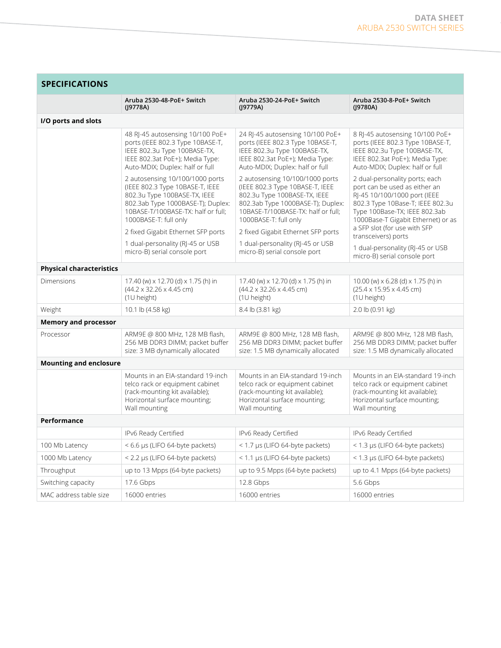| <b>SPECIFICATIONS</b>           |                                                                                                                                                                                                        |                                                                                                                                                                                                        |                                                                                                                                                                                                                                            |  |
|---------------------------------|--------------------------------------------------------------------------------------------------------------------------------------------------------------------------------------------------------|--------------------------------------------------------------------------------------------------------------------------------------------------------------------------------------------------------|--------------------------------------------------------------------------------------------------------------------------------------------------------------------------------------------------------------------------------------------|--|
|                                 | Aruba 2530-48-PoE+ Switch<br>(19778A)                                                                                                                                                                  | Aruba 2530-24-PoE+ Switch<br>(19779A)                                                                                                                                                                  | Aruba 2530-8-PoE+ Switch<br>(19780A)                                                                                                                                                                                                       |  |
| I/O ports and slots             |                                                                                                                                                                                                        |                                                                                                                                                                                                        |                                                                                                                                                                                                                                            |  |
|                                 | 48 RJ-45 autosensing 10/100 PoE+<br>ports (IEEE 802.3 Type 10BASE-T,<br>IEEE 802.3u Type 100BASE-TX,<br>IEEE 802.3at PoE+); Media Type:<br>Auto-MDIX; Duplex: half or full                             | 24 RJ-45 autosensing 10/100 PoE+<br>ports (IEEE 802.3 Type 10BASE-T,<br>IEEE 802.3u Type 100BASE-TX,<br>IEEE 802.3at PoE+); Media Type:<br>Auto-MDIX; Duplex: half or full                             | 8 RJ-45 autosensing 10/100 PoE+<br>ports (IEEE 802.3 Type 10BASE-T,<br>IEEE 802.3u Type 100BASE-TX,<br>IEEE 802.3at PoE+); Media Type:<br>Auto-MDIX; Duplex: half or full                                                                  |  |
|                                 | 2 autosensing 10/100/1000 ports<br>(IEEE 802.3 Type 10BASE-T, IEEE<br>802.3u Type 100BASE-TX, IEEE<br>802.3ab Type 1000BASE-T); Duplex:<br>10BASE-T/100BASE-TX: half or full;<br>1000BASE-T: full only | 2 autosensing 10/100/1000 ports<br>(IEEE 802.3 Type 10BASE-T, IEEE<br>802.3u Type 100BASE-TX, IEEE<br>802.3ab Type 1000BASE-T); Duplex:<br>10BASE-T/100BASE-TX: half or full;<br>1000BASE-T: full only | 2 dual-personality ports; each<br>port can be used as either an<br>RI-45 10/100/1000 port (IEEE<br>802.3 Type 10Base-T; IEEE 802.3u<br>Type 100Base-TX; IEEE 802.3ab<br>1000Base-T Gigabit Ethernet) or as<br>a SFP slot (for use with SFP |  |
|                                 | 2 fixed Gigabit Ethernet SFP ports                                                                                                                                                                     | 2 fixed Gigabit Ethernet SFP ports                                                                                                                                                                     | transceivers) ports                                                                                                                                                                                                                        |  |
|                                 | 1 dual-personality (RJ-45 or USB<br>micro-B) serial console port                                                                                                                                       | 1 dual-personality (RJ-45 or USB<br>micro-B) serial console port                                                                                                                                       | 1 dual-personality (RJ-45 or USB<br>micro-B) serial console port                                                                                                                                                                           |  |
| <b>Physical characteristics</b> |                                                                                                                                                                                                        |                                                                                                                                                                                                        |                                                                                                                                                                                                                                            |  |
| <b>Dimensions</b>               | 17.40 (w) x 12.70 (d) x 1.75 (h) in<br>$(44.2 \times 32.26 \times 4.45$ cm)<br>(1U height)                                                                                                             | 17.40 (w) x 12.70 (d) x 1.75 (h) in<br>$(44.2 \times 32.26 \times 4.45$ cm)<br>$(1U$ height)                                                                                                           | 10.00 (w) x 6.28 (d) x 1.75 (h) in<br>$(25.4 \times 15.95 \times 4.45$ cm)<br>(1U height)                                                                                                                                                  |  |
| Weight                          | 10.1 lb (4.58 kg)                                                                                                                                                                                      | 8.4 lb (3.81 kg)                                                                                                                                                                                       | 2.0 lb (0.91 kg)                                                                                                                                                                                                                           |  |
| <b>Memory and processor</b>     |                                                                                                                                                                                                        |                                                                                                                                                                                                        |                                                                                                                                                                                                                                            |  |
| Processor                       | ARM9E @ 800 MHz, 128 MB flash,<br>256 MB DDR3 DIMM; packet buffer<br>size: 3 MB dynamically allocated                                                                                                  | ARM9E @ 800 MHz, 128 MB flash,<br>256 MB DDR3 DIMM; packet buffer<br>size: 1.5 MB dynamically allocated                                                                                                | ARM9E @ 800 MHz, 128 MB flash,<br>256 MB DDR3 DIMM; packet buffer<br>size: 1.5 MB dynamically allocated                                                                                                                                    |  |
| <b>Mounting and enclosure</b>   |                                                                                                                                                                                                        |                                                                                                                                                                                                        |                                                                                                                                                                                                                                            |  |
|                                 | Mounts in an EIA-standard 19-inch<br>telco rack or equipment cabinet<br>(rack-mounting kit available);<br>Horizontal surface mounting;<br>Wall mounting                                                | Mounts in an EIA-standard 19-inch<br>telco rack or equipment cabinet<br>(rack-mounting kit available);<br>Horizontal surface mounting;<br>Wall mounting                                                | Mounts in an EIA-standard 19-inch<br>telco rack or equipment cabinet<br>(rack-mounting kit available);<br>Horizontal surface mounting;<br>Wall mounting                                                                                    |  |
| Performance                     |                                                                                                                                                                                                        |                                                                                                                                                                                                        |                                                                                                                                                                                                                                            |  |
|                                 | IPv6 Ready Certified                                                                                                                                                                                   | IPv6 Ready Certified                                                                                                                                                                                   | IPv6 Ready Certified                                                                                                                                                                                                                       |  |
| 100 Mb Latency                  | < 6.6 µs (LIFO 64-byte packets)                                                                                                                                                                        | $<$ 1.7 µs (LIFO 64-byte packets)                                                                                                                                                                      | < 1.3 µs (LIFO 64-byte packets)                                                                                                                                                                                                            |  |
| 1000 Mb Latency                 | < 2.2 µs (LIFO 64-byte packets)                                                                                                                                                                        | < 1.1 µs (LIFO 64-byte packets)                                                                                                                                                                        | < 1.3 µs (LIFO 64-byte packets)                                                                                                                                                                                                            |  |
| Throughput                      | up to 13 Mpps (64-byte packets)                                                                                                                                                                        | up to 9.5 Mpps (64-byte packets)                                                                                                                                                                       | up to 4.1 Mpps (64-byte packets)                                                                                                                                                                                                           |  |
| Switching capacity              | 17.6 Gbps                                                                                                                                                                                              | 12.8 Gbps                                                                                                                                                                                              | 5.6 Gbps                                                                                                                                                                                                                                   |  |
| MAC address table size          | 16000 entries                                                                                                                                                                                          | 16000 entries                                                                                                                                                                                          | 16000 entries                                                                                                                                                                                                                              |  |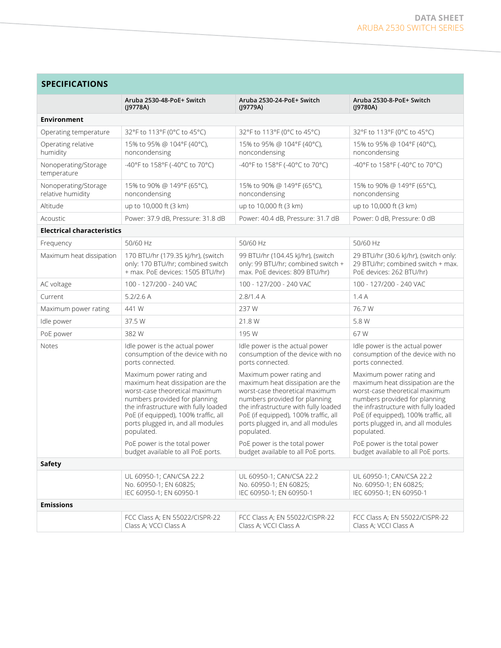| <b>SPECIFICATIONS</b>                     |                                                                                                                                                                                                                                                                    |                                                                                                                                                                                                                                                                    |                                                                                                                                                                                                                                                                    |  |
|-------------------------------------------|--------------------------------------------------------------------------------------------------------------------------------------------------------------------------------------------------------------------------------------------------------------------|--------------------------------------------------------------------------------------------------------------------------------------------------------------------------------------------------------------------------------------------------------------------|--------------------------------------------------------------------------------------------------------------------------------------------------------------------------------------------------------------------------------------------------------------------|--|
|                                           | Aruba 2530-48-PoE+ Switch<br>(19778A)                                                                                                                                                                                                                              | Aruba 2530-24-PoE+ Switch<br>(19779A)                                                                                                                                                                                                                              | Aruba 2530-8-PoE+ Switch<br>$($  9780A)                                                                                                                                                                                                                            |  |
| <b>Environment</b>                        |                                                                                                                                                                                                                                                                    |                                                                                                                                                                                                                                                                    |                                                                                                                                                                                                                                                                    |  |
| Operating temperature                     | 32°F to 113°F (0°C to 45°C)                                                                                                                                                                                                                                        | 32°F to 113°F (0°C to 45°C)                                                                                                                                                                                                                                        | 32°F to 113°F (0°C to 45°C)                                                                                                                                                                                                                                        |  |
| Operating relative<br>humidity            | 15% to 95% @ 104°F (40°C),<br>noncondensing                                                                                                                                                                                                                        | 15% to 95% @ 104°F (40°C),<br>noncondensing                                                                                                                                                                                                                        | 15% to 95% @ 104°F (40°C),<br>noncondensing                                                                                                                                                                                                                        |  |
| Nonoperating/Storage<br>temperature       | -40°F to 158°F (-40°C to 70°C)                                                                                                                                                                                                                                     | -40°F to 158°F (-40°C to 70°C)                                                                                                                                                                                                                                     | -40°F to 158°F (-40°C to 70°C)                                                                                                                                                                                                                                     |  |
| Nonoperating/Storage<br>relative humidity | 15% to 90% @ 149°F (65°C),<br>noncondensing                                                                                                                                                                                                                        | 15% to 90% @ 149°F (65°C),<br>noncondensing                                                                                                                                                                                                                        | 15% to 90% @ 149°F (65°C),<br>noncondensing                                                                                                                                                                                                                        |  |
| Altitude                                  | up to 10,000 ft (3 km)                                                                                                                                                                                                                                             | up to 10,000 ft (3 km)                                                                                                                                                                                                                                             | up to 10,000 ft (3 km)                                                                                                                                                                                                                                             |  |
| Acoustic                                  | Power: 37.9 dB, Pressure: 31.8 dB                                                                                                                                                                                                                                  | Power: 40.4 dB, Pressure: 31.7 dB                                                                                                                                                                                                                                  | Power: 0 dB, Pressure: 0 dB                                                                                                                                                                                                                                        |  |
| <b>Electrical characteristics</b>         |                                                                                                                                                                                                                                                                    |                                                                                                                                                                                                                                                                    |                                                                                                                                                                                                                                                                    |  |
| Frequency                                 | 50/60 Hz                                                                                                                                                                                                                                                           | 50/60 Hz                                                                                                                                                                                                                                                           | 50/60 Hz                                                                                                                                                                                                                                                           |  |
| Maximum heat dissipation                  | 170 BTU/hr (179.35 kJ/hr), (switch<br>only: 170 BTU/hr; combined switch<br>+ max. PoE devices: 1505 BTU/hr)                                                                                                                                                        | 99 BTU/hr (104.45 kJ/hr), (switch<br>only: 99 BTU/hr; combined switch +<br>max. PoE devices: 809 BTU/hr)                                                                                                                                                           | 29 BTU/hr (30.6 kJ/hr), (switch only:<br>29 BTU/hr; combined switch + max.<br>PoE devices: 262 BTU/hr)                                                                                                                                                             |  |
| AC voltage                                | 100 - 127/200 - 240 VAC                                                                                                                                                                                                                                            | 100 - 127/200 - 240 VAC                                                                                                                                                                                                                                            | 100 - 127/200 - 240 VAC                                                                                                                                                                                                                                            |  |
| Current                                   | 5.2/2.6 A                                                                                                                                                                                                                                                          | 2.8/1.4A                                                                                                                                                                                                                                                           | 1.4A                                                                                                                                                                                                                                                               |  |
| Maximum power rating                      | 441 W                                                                                                                                                                                                                                                              | 237W                                                                                                                                                                                                                                                               | 76.7W                                                                                                                                                                                                                                                              |  |
| Idle power                                | 37.5 W                                                                                                                                                                                                                                                             | 21.8 W                                                                                                                                                                                                                                                             | 5.8 W                                                                                                                                                                                                                                                              |  |
| PoE power                                 | 382W                                                                                                                                                                                                                                                               | 195 W                                                                                                                                                                                                                                                              | 67 W                                                                                                                                                                                                                                                               |  |
| Notes                                     | Idle power is the actual power<br>consumption of the device with no<br>ports connected.                                                                                                                                                                            | Idle power is the actual power<br>consumption of the device with no<br>ports connected.                                                                                                                                                                            | Idle power is the actual power<br>consumption of the device with no<br>ports connected.                                                                                                                                                                            |  |
|                                           | Maximum power rating and<br>maximum heat dissipation are the<br>worst-case theoretical maximum<br>numbers provided for planning<br>the infrastructure with fully loaded<br>PoE (if equipped), 100% traffic, all<br>ports plugged in, and all modules<br>populated. | Maximum power rating and<br>maximum heat dissipation are the<br>worst-case theoretical maximum<br>numbers provided for planning<br>the infrastructure with fully loaded<br>PoE (if equipped), 100% traffic, all<br>ports plugged in, and all modules<br>populated. | Maximum power rating and<br>maximum heat dissipation are the<br>worst-case theoretical maximum<br>numbers provided for planning<br>the infrastructure with fully loaded<br>PoE (if equipped), 100% traffic, all<br>ports plugged in, and all modules<br>populated. |  |
|                                           | PoE power is the total power<br>budget available to all PoE ports.                                                                                                                                                                                                 | PoE power is the total power<br>budget available to all PoE ports.                                                                                                                                                                                                 | PoE power is the total power<br>budget available to all PoE ports.                                                                                                                                                                                                 |  |
| Safety                                    |                                                                                                                                                                                                                                                                    |                                                                                                                                                                                                                                                                    |                                                                                                                                                                                                                                                                    |  |
|                                           | UL 60950-1; CAN/CSA 22.2<br>No. 60950-1; EN 60825;<br>IEC 60950-1; EN 60950-1                                                                                                                                                                                      | UL 60950-1; CAN/CSA 22.2<br>No. 60950-1; EN 60825;<br>IEC 60950-1; EN 60950-1                                                                                                                                                                                      | UL 60950-1; CAN/CSA 22.2<br>No. 60950-1; EN 60825;<br>IEC 60950-1; EN 60950-1                                                                                                                                                                                      |  |
| <b>Emissions</b>                          |                                                                                                                                                                                                                                                                    |                                                                                                                                                                                                                                                                    |                                                                                                                                                                                                                                                                    |  |
|                                           | FCC Class A; EN 55022/CISPR-22<br>Class A: VCCI Class A                                                                                                                                                                                                            | FCC Class A; EN 55022/CISPR-22<br>Class A: VCCI Class A                                                                                                                                                                                                            | FCC Class A; EN 55022/CISPR-22<br>Class A; VCCI Class A                                                                                                                                                                                                            |  |
|                                           |                                                                                                                                                                                                                                                                    |                                                                                                                                                                                                                                                                    |                                                                                                                                                                                                                                                                    |  |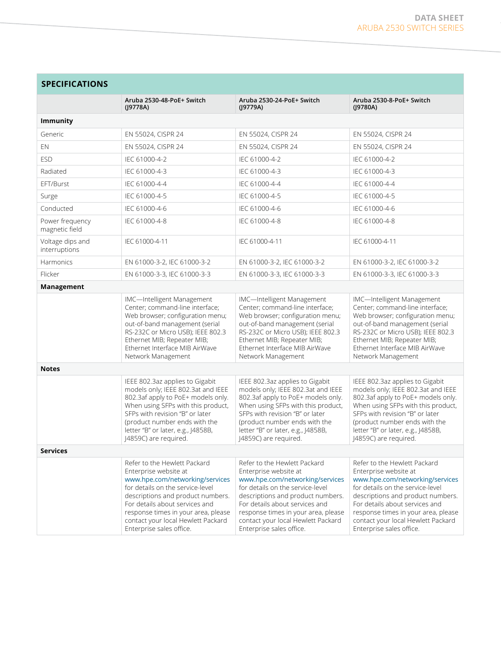| <b>SPECIFICATIONS</b>             |                                                                                                                                                                                                                                                                                                              |                                                                                                                                                                                                                                                                                                              |                                                                                                                                                                                                                                                                                                              |  |
|-----------------------------------|--------------------------------------------------------------------------------------------------------------------------------------------------------------------------------------------------------------------------------------------------------------------------------------------------------------|--------------------------------------------------------------------------------------------------------------------------------------------------------------------------------------------------------------------------------------------------------------------------------------------------------------|--------------------------------------------------------------------------------------------------------------------------------------------------------------------------------------------------------------------------------------------------------------------------------------------------------------|--|
|                                   | Aruba 2530-48-PoE+ Switch<br>(19778A)                                                                                                                                                                                                                                                                        | Aruba 2530-24-PoE+ Switch<br>(J9779A)                                                                                                                                                                                                                                                                        | Aruba 2530-8-PoE+ Switch<br>(J9780A)                                                                                                                                                                                                                                                                         |  |
| <b>Immunity</b>                   |                                                                                                                                                                                                                                                                                                              |                                                                                                                                                                                                                                                                                                              |                                                                                                                                                                                                                                                                                                              |  |
| Generic                           | EN 55024, CISPR 24                                                                                                                                                                                                                                                                                           | EN 55024, CISPR 24                                                                                                                                                                                                                                                                                           | EN 55024, CISPR 24                                                                                                                                                                                                                                                                                           |  |
| EN                                | EN 55024, CISPR 24                                                                                                                                                                                                                                                                                           | EN 55024, CISPR 24                                                                                                                                                                                                                                                                                           | EN 55024, CISPR 24                                                                                                                                                                                                                                                                                           |  |
| <b>ESD</b>                        | IEC 61000-4-2                                                                                                                                                                                                                                                                                                | IEC 61000-4-2                                                                                                                                                                                                                                                                                                | IEC 61000-4-2                                                                                                                                                                                                                                                                                                |  |
| Radiated                          | IEC 61000-4-3                                                                                                                                                                                                                                                                                                | IEC 61000-4-3                                                                                                                                                                                                                                                                                                | IEC 61000-4-3                                                                                                                                                                                                                                                                                                |  |
| EFT/Burst                         | IEC 61000-4-4                                                                                                                                                                                                                                                                                                | IEC 61000-4-4                                                                                                                                                                                                                                                                                                | IEC 61000-4-4                                                                                                                                                                                                                                                                                                |  |
| Surge                             | IEC 61000-4-5                                                                                                                                                                                                                                                                                                | IEC 61000-4-5                                                                                                                                                                                                                                                                                                | IEC 61000-4-5                                                                                                                                                                                                                                                                                                |  |
| Conducted                         | IEC 61000-4-6                                                                                                                                                                                                                                                                                                | IEC 61000-4-6                                                                                                                                                                                                                                                                                                | IEC 61000-4-6                                                                                                                                                                                                                                                                                                |  |
| Power frequency<br>magnetic field | IEC 61000-4-8                                                                                                                                                                                                                                                                                                | IEC 61000-4-8                                                                                                                                                                                                                                                                                                | IEC 61000-4-8                                                                                                                                                                                                                                                                                                |  |
| Voltage dips and<br>interruptions | IEC 61000-4-11                                                                                                                                                                                                                                                                                               | IEC 61000-4-11                                                                                                                                                                                                                                                                                               | IEC 61000-4-11                                                                                                                                                                                                                                                                                               |  |
| Harmonics                         | EN 61000-3-2, IEC 61000-3-2                                                                                                                                                                                                                                                                                  | EN 61000-3-2, IEC 61000-3-2                                                                                                                                                                                                                                                                                  | EN 61000-3-2, IEC 61000-3-2                                                                                                                                                                                                                                                                                  |  |
| Flicker                           | EN 61000-3-3, IEC 61000-3-3                                                                                                                                                                                                                                                                                  | EN 61000-3-3, IEC 61000-3-3                                                                                                                                                                                                                                                                                  | EN 61000-3-3, IEC 61000-3-3                                                                                                                                                                                                                                                                                  |  |
| Management                        |                                                                                                                                                                                                                                                                                                              |                                                                                                                                                                                                                                                                                                              |                                                                                                                                                                                                                                                                                                              |  |
|                                   | IMC-Intelligent Management<br>Center; command-line interface;<br>Web browser; configuration menu;<br>out-of-band management (serial<br>RS-232C or Micro USB); IEEE 802.3<br>Ethernet MIB; Repeater MIB;<br>Ethernet Interface MIB AirWave<br>Network Management                                              | IMC-Intelligent Management<br>Center; command-line interface;<br>Web browser; configuration menu;<br>out-of-band management (serial<br>RS-232C or Micro USB); IEEE 802.3<br>Ethernet MIB; Repeater MIB;<br>Ethernet Interface MIB AirWave<br>Network Management                                              | IMC-Intelligent Management<br>Center; command-line interface;<br>Web browser; configuration menu;<br>out-of-band management (serial<br>RS-232C or Micro USB); IEEE 802.3<br>Ethernet MIB; Repeater MIB;<br>Ethernet Interface MIB AirWave<br>Network Management                                              |  |
| <b>Notes</b>                      |                                                                                                                                                                                                                                                                                                              |                                                                                                                                                                                                                                                                                                              |                                                                                                                                                                                                                                                                                                              |  |
|                                   | IEEE 802.3az applies to Gigabit<br>models only; IEEE 802.3at and IEEE<br>802.3af apply to PoE+ models only.<br>When using SFPs with this product,<br>SFPs with revision "B" or later<br>(product number ends with the<br>letter "B" or later, e.g., J4858B,<br>J4859C) are required.                         | IEEE 802.3az applies to Gigabit<br>models only; IEEE 802.3at and IEEE<br>802.3af apply to PoE+ models only.<br>When using SFPs with this product,<br>SFPs with revision "B" or later<br>(product number ends with the<br>letter "B" or later, e.g., J4858B,<br>J4859C) are required.                         | IEEE 802.3az applies to Gigabit<br>models only; IEEE 802.3at and IEEE<br>802.3af apply to PoE+ models only.<br>When using SFPs with this product,<br>SFPs with revision "B" or later<br>(product number ends with the<br>letter "B" or later, e.g., J4858B,<br>J4859C) are required.                         |  |
| <b>Services</b>                   |                                                                                                                                                                                                                                                                                                              |                                                                                                                                                                                                                                                                                                              |                                                                                                                                                                                                                                                                                                              |  |
|                                   | Refer to the Hewlett Packard<br>Enterprise website at<br>www.hpe.com/networking/services<br>for details on the service-level<br>descriptions and product numbers.<br>For details about services and<br>response times in your area, please<br>contact your local Hewlett Packard<br>Enterprise sales office. | Refer to the Hewlett Packard<br>Enterprise website at<br>www.hpe.com/networking/services<br>for details on the service-level<br>descriptions and product numbers.<br>For details about services and<br>response times in your area, please<br>contact your local Hewlett Packard<br>Enterprise sales office. | Refer to the Hewlett Packard<br>Enterprise website at<br>www.hpe.com/networking/services<br>for details on the service-level<br>descriptions and product numbers.<br>For details about services and<br>response times in your area, please<br>contact your local Hewlett Packard<br>Enterprise sales office. |  |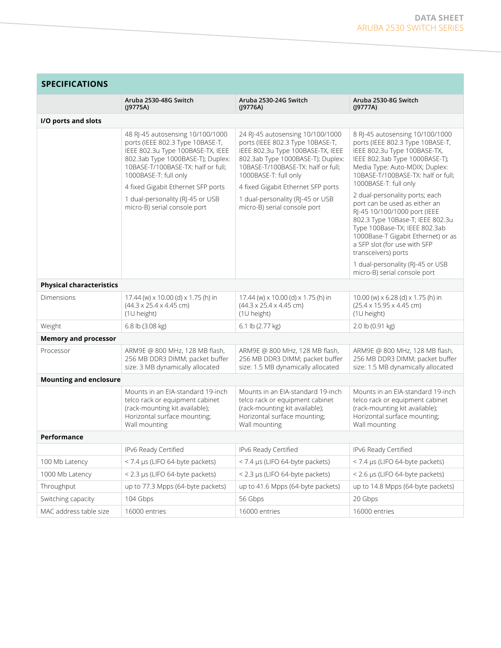**Contract Contract Contract** 

| <b>SPECIFICATIONS</b>           |                                                                                                                                                                                                               |                                                                                                                                                                                                               |                                                                                                                                                                                                                                                                                                                                       |  |
|---------------------------------|---------------------------------------------------------------------------------------------------------------------------------------------------------------------------------------------------------------|---------------------------------------------------------------------------------------------------------------------------------------------------------------------------------------------------------------|---------------------------------------------------------------------------------------------------------------------------------------------------------------------------------------------------------------------------------------------------------------------------------------------------------------------------------------|--|
|                                 | Aruba 2530-48G Switch<br>(19775A)                                                                                                                                                                             | Aruba 2530-24G Switch<br>(19776A)                                                                                                                                                                             | Aruba 2530-8G Switch<br>(19777A)                                                                                                                                                                                                                                                                                                      |  |
| I/O ports and slots             |                                                                                                                                                                                                               |                                                                                                                                                                                                               |                                                                                                                                                                                                                                                                                                                                       |  |
|                                 | 48 RJ-45 autosensing 10/100/1000<br>ports (IEEE 802.3 Type 10BASE-T,<br>IEEE 802.3u Type 100BASE-TX, IEEE<br>802.3ab Type 1000BASE-T); Duplex:<br>10BASE-T/100BASE-TX: half or full;<br>1000BASE-T: full only | 24 RJ-45 autosensing 10/100/1000<br>ports (IEEE 802.3 Type 10BASE-T,<br>IEEE 802.3u Type 100BASE-TX, IEEE<br>802.3ab Type 1000BASE-T); Duplex:<br>10BASE-T/100BASE-TX: half or full;<br>1000BASE-T: full only | 8 RJ-45 autosensing 10/100/1000<br>ports (IEEE 802.3 Type 10BASE-T,<br>IEEE 802.3u Type 100BASE-TX,<br>IEEE 802.3ab Type 1000BASE-T);<br>Media Type: Auto-MDIX; Duplex:<br>10BASE-T/100BASE-TX: half or full;<br>1000BASE-T: full only                                                                                                |  |
|                                 | 4 fixed Gigabit Ethernet SFP ports<br>1 dual-personality (RJ-45 or USB<br>micro-B) serial console port                                                                                                        | 4 fixed Gigabit Ethernet SFP ports<br>1 dual-personality (RJ-45 or USB<br>micro-B) serial console port                                                                                                        | 2 dual-personality ports; each<br>port can be used as either an<br>RJ-45 10/100/1000 port (IEEE<br>802.3 Type 10Base-T; IEEE 802.3u<br>Type 100Base-TX; IEEE 802.3ab<br>1000Base-T Gigabit Ethernet) or as<br>a SFP slot (for use with SFP<br>transceivers) ports<br>1 dual-personality (RJ-45 or USB<br>micro-B) serial console port |  |
| <b>Physical characteristics</b> |                                                                                                                                                                                                               |                                                                                                                                                                                                               |                                                                                                                                                                                                                                                                                                                                       |  |
| Dimensions                      | 17.44 (w) x 10.00 (d) x 1.75 (h) in<br>$(44.3 \times 25.4 \times 4.45$ cm)<br>(1U height)                                                                                                                     | 17.44 (w) x 10.00 (d) x 1.75 (h) in<br>$(44.3 \times 25.4 \times 4.45$ cm)<br>(1U height)                                                                                                                     | 10.00 (w) $\times$ 6.28 (d) $\times$ 1.75 (h) in<br>(25.4 x 15.95 x 4.45 cm)<br>(1U height)                                                                                                                                                                                                                                           |  |
| Weight                          | 6.8 lb (3.08 kg)                                                                                                                                                                                              | 6.1 lb (2.77 kg)                                                                                                                                                                                              | 2.0 lb (0.91 kg)                                                                                                                                                                                                                                                                                                                      |  |
| <b>Memory and processor</b>     |                                                                                                                                                                                                               |                                                                                                                                                                                                               |                                                                                                                                                                                                                                                                                                                                       |  |
| Processor                       | ARM9E @ 800 MHz, 128 MB flash,<br>256 MB DDR3 DIMM; packet buffer<br>size: 3 MB dynamically allocated                                                                                                         | ARM9E @ 800 MHz, 128 MB flash,<br>256 MB DDR3 DIMM; packet buffer<br>size: 1.5 MB dynamically allocated                                                                                                       | ARM9E @ 800 MHz, 128 MB flash,<br>256 MB DDR3 DIMM; packet buffer<br>size: 1.5 MB dynamically allocated                                                                                                                                                                                                                               |  |
| <b>Mounting and enclosure</b>   |                                                                                                                                                                                                               |                                                                                                                                                                                                               |                                                                                                                                                                                                                                                                                                                                       |  |
|                                 | Mounts in an EIA-standard 19-inch<br>telco rack or equipment cabinet<br>(rack-mounting kit available);<br>Horizontal surface mounting;<br>Wall mounting                                                       | Mounts in an EIA-standard 19-inch<br>telco rack or equipment cabinet<br>(rack-mounting kit available);<br>Horizontal surface mounting;<br>Wall mounting                                                       | Mounts in an EIA-standard 19-inch<br>telco rack or equipment cabinet<br>(rack-mounting kit available);<br>Horizontal surface mounting;<br>Wall mounting                                                                                                                                                                               |  |
| Performance                     |                                                                                                                                                                                                               |                                                                                                                                                                                                               |                                                                                                                                                                                                                                                                                                                                       |  |
|                                 | IPv6 Ready Certified                                                                                                                                                                                          | IPv6 Ready Certified                                                                                                                                                                                          | IPv6 Ready Certified                                                                                                                                                                                                                                                                                                                  |  |
| 100 Mb Latency                  | < 7.4 µs (LIFO 64-byte packets)                                                                                                                                                                               | < 7.4 µs (LIFO 64-byte packets)                                                                                                                                                                               | < 7.4 µs (LIFO 64-byte packets)                                                                                                                                                                                                                                                                                                       |  |
| 1000 Mb Latency                 | < 2.3 µs (LIFO 64-byte packets)                                                                                                                                                                               | < 2.3 µs (LIFO 64-byte packets)                                                                                                                                                                               | < 2.6 µs (LIFO 64-byte packets)                                                                                                                                                                                                                                                                                                       |  |
| Throughput                      | up to 77.3 Mpps (64-byte packets)                                                                                                                                                                             | up to 41.6 Mpps (64-byte packets)                                                                                                                                                                             | up to 14.8 Mpps (64-byte packets)                                                                                                                                                                                                                                                                                                     |  |
| Switching capacity              | 104 Gbps                                                                                                                                                                                                      | 56 Gbps                                                                                                                                                                                                       | 20 Gbps                                                                                                                                                                                                                                                                                                                               |  |
| MAC address table size          | 16000 entries                                                                                                                                                                                                 | 16000 entries                                                                                                                                                                                                 | 16000 entries                                                                                                                                                                                                                                                                                                                         |  |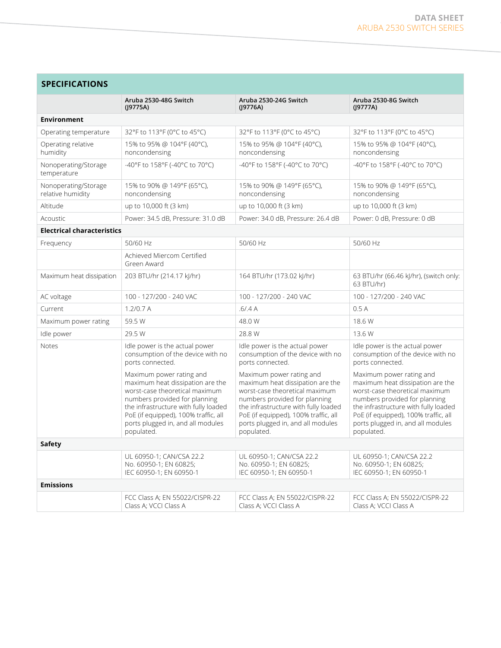| <b>SPECIFICATIONS</b>                     |                                                                                                                                                                                                                                                                    |                                                                                                                                                                                                                                                                    |                                                                                                                                                                                                                                                                    |  |
|-------------------------------------------|--------------------------------------------------------------------------------------------------------------------------------------------------------------------------------------------------------------------------------------------------------------------|--------------------------------------------------------------------------------------------------------------------------------------------------------------------------------------------------------------------------------------------------------------------|--------------------------------------------------------------------------------------------------------------------------------------------------------------------------------------------------------------------------------------------------------------------|--|
|                                           | Aruba 2530-48G Switch<br>(19775A)                                                                                                                                                                                                                                  | Aruba 2530-24G Switch<br>(19776A)                                                                                                                                                                                                                                  | Aruba 2530-8G Switch<br>(19777A)                                                                                                                                                                                                                                   |  |
| <b>Environment</b>                        |                                                                                                                                                                                                                                                                    |                                                                                                                                                                                                                                                                    |                                                                                                                                                                                                                                                                    |  |
| Operating temperature                     | 32°F to 113°F (0°C to 45°C)                                                                                                                                                                                                                                        | 32°F to 113°F (0°C to 45°C)                                                                                                                                                                                                                                        | 32°F to 113°F (0°C to 45°C)                                                                                                                                                                                                                                        |  |
| Operating relative<br>humidity            | 15% to 95% @ 104°F (40°C),<br>noncondensing                                                                                                                                                                                                                        | 15% to 95% @ 104°F (40°C),<br>noncondensing                                                                                                                                                                                                                        | 15% to 95% @ 104°F (40°C),<br>noncondensing                                                                                                                                                                                                                        |  |
| Nonoperating/Storage<br>temperature       | -40°F to 158°F (-40°C to 70°C)                                                                                                                                                                                                                                     | -40°F to 158°F (-40°C to 70°C)                                                                                                                                                                                                                                     | -40°F to 158°F (-40°C to 70°C)                                                                                                                                                                                                                                     |  |
| Nonoperating/Storage<br>relative humidity | 15% to 90% @ 149°F (65°C),<br>noncondensing                                                                                                                                                                                                                        | 15% to 90% @ 149°F (65°C),<br>noncondensing                                                                                                                                                                                                                        | 15% to 90% @ 149°F (65°C),<br>noncondensing                                                                                                                                                                                                                        |  |
| Altitude                                  | up to 10,000 ft (3 km)                                                                                                                                                                                                                                             | up to 10,000 ft (3 km)                                                                                                                                                                                                                                             | up to 10,000 ft (3 km)                                                                                                                                                                                                                                             |  |
| Acoustic                                  | Power: 34.5 dB, Pressure: 31.0 dB                                                                                                                                                                                                                                  | Power: 34.0 dB, Pressure: 26.4 dB                                                                                                                                                                                                                                  | Power: 0 dB, Pressure: 0 dB                                                                                                                                                                                                                                        |  |
| <b>Electrical characteristics</b>         |                                                                                                                                                                                                                                                                    |                                                                                                                                                                                                                                                                    |                                                                                                                                                                                                                                                                    |  |
| Frequency                                 | 50/60 Hz                                                                                                                                                                                                                                                           | 50/60 Hz                                                                                                                                                                                                                                                           | 50/60 Hz                                                                                                                                                                                                                                                           |  |
|                                           | Achieved Miercom Certified<br>Green Award                                                                                                                                                                                                                          |                                                                                                                                                                                                                                                                    |                                                                                                                                                                                                                                                                    |  |
| Maximum heat dissipation                  | 203 BTU/hr (214.17 kJ/hr)                                                                                                                                                                                                                                          | 164 BTU/hr (173.02 kJ/hr)                                                                                                                                                                                                                                          | 63 BTU/hr (66.46 kJ/hr), (switch only:<br>63 BTU/hr)                                                                                                                                                                                                               |  |
| AC voltage                                | 100 - 127/200 - 240 VAC                                                                                                                                                                                                                                            | 100 - 127/200 - 240 VAC                                                                                                                                                                                                                                            | 100 - 127/200 - 240 VAC                                                                                                                                                                                                                                            |  |
| Current                                   | 1.2/0.7 A                                                                                                                                                                                                                                                          | .6/0.4A                                                                                                                                                                                                                                                            | 0.5A                                                                                                                                                                                                                                                               |  |
| Maximum power rating                      | 59.5 W                                                                                                                                                                                                                                                             | 48.0 W                                                                                                                                                                                                                                                             | 18.6 W                                                                                                                                                                                                                                                             |  |
| Idle power                                | 29.5 W                                                                                                                                                                                                                                                             | 28.8 W                                                                                                                                                                                                                                                             | 13.6 W                                                                                                                                                                                                                                                             |  |
| Notes                                     | Idle power is the actual power<br>consumption of the device with no<br>ports connected.                                                                                                                                                                            | Idle power is the actual power<br>consumption of the device with no<br>ports connected.                                                                                                                                                                            | Idle power is the actual power<br>consumption of the device with no<br>ports connected.                                                                                                                                                                            |  |
|                                           | Maximum power rating and<br>maximum heat dissipation are the<br>worst-case theoretical maximum<br>numbers provided for planning<br>the infrastructure with fully loaded<br>PoE (if equipped), 100% traffic, all<br>ports plugged in, and all modules<br>populated. | Maximum power rating and<br>maximum heat dissipation are the<br>worst-case theoretical maximum<br>numbers provided for planning<br>the infrastructure with fully loaded<br>PoE (if equipped), 100% traffic, all<br>ports plugged in, and all modules<br>populated. | Maximum power rating and<br>maximum heat dissipation are the<br>worst-case theoretical maximum<br>numbers provided for planning<br>the infrastructure with fully loaded<br>PoE (if equipped), 100% traffic, all<br>ports plugged in, and all modules<br>populated. |  |
| <b>Safety</b>                             |                                                                                                                                                                                                                                                                    |                                                                                                                                                                                                                                                                    |                                                                                                                                                                                                                                                                    |  |
|                                           | UL 60950-1; CAN/CSA 22.2<br>No. 60950-1; EN 60825;<br>IEC 60950-1; EN 60950-1                                                                                                                                                                                      | UL 60950-1; CAN/CSA 22.2<br>No. 60950-1; EN 60825;<br>IEC 60950-1; EN 60950-1                                                                                                                                                                                      | UL 60950-1; CAN/CSA 22.2<br>No. 60950-1; EN 60825;<br>IEC 60950-1; EN 60950-1                                                                                                                                                                                      |  |
| <b>Emissions</b>                          |                                                                                                                                                                                                                                                                    |                                                                                                                                                                                                                                                                    |                                                                                                                                                                                                                                                                    |  |
|                                           | FCC Class A; EN 55022/CISPR-22<br>Class A; VCCI Class A                                                                                                                                                                                                            | FCC Class A; EN 55022/CISPR-22<br>Class A; VCCI Class A                                                                                                                                                                                                            | FCC Class A; EN 55022/CISPR-22<br>Class A; VCCI Class A                                                                                                                                                                                                            |  |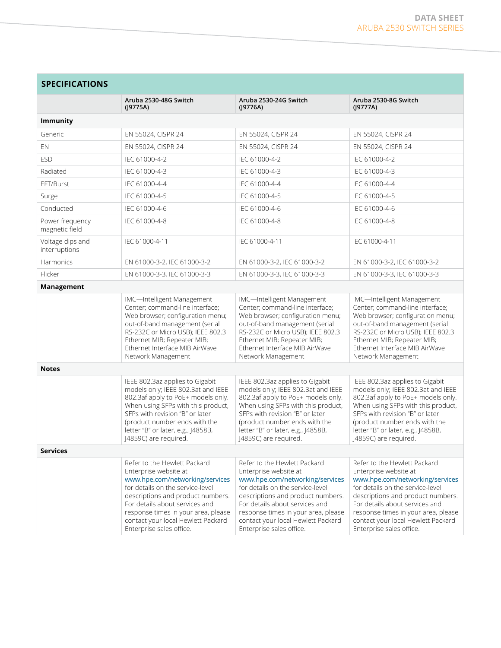| <b>SPECIFICATIONS</b>             |                                                                                                                                                                                                                                                                                                              |                                                                                                                                                                                                                                                                                                              |                                                                                                                                                                                                                                                                                                              |  |
|-----------------------------------|--------------------------------------------------------------------------------------------------------------------------------------------------------------------------------------------------------------------------------------------------------------------------------------------------------------|--------------------------------------------------------------------------------------------------------------------------------------------------------------------------------------------------------------------------------------------------------------------------------------------------------------|--------------------------------------------------------------------------------------------------------------------------------------------------------------------------------------------------------------------------------------------------------------------------------------------------------------|--|
|                                   | Aruba 2530-48G Switch<br>(J9775A)                                                                                                                                                                                                                                                                            | Aruba 2530-24G Switch<br>(19776A)                                                                                                                                                                                                                                                                            | Aruba 2530-8G Switch<br>(19777A)                                                                                                                                                                                                                                                                             |  |
| <b>Immunity</b>                   |                                                                                                                                                                                                                                                                                                              |                                                                                                                                                                                                                                                                                                              |                                                                                                                                                                                                                                                                                                              |  |
| Generic                           | EN 55024, CISPR 24                                                                                                                                                                                                                                                                                           | EN 55024, CISPR 24                                                                                                                                                                                                                                                                                           | EN 55024, CISPR 24                                                                                                                                                                                                                                                                                           |  |
| EN                                | EN 55024, CISPR 24                                                                                                                                                                                                                                                                                           | EN 55024, CISPR 24                                                                                                                                                                                                                                                                                           | EN 55024, CISPR 24                                                                                                                                                                                                                                                                                           |  |
| <b>ESD</b>                        | IEC 61000-4-2                                                                                                                                                                                                                                                                                                | IFC 61000-4-2                                                                                                                                                                                                                                                                                                | IEC 61000-4-2                                                                                                                                                                                                                                                                                                |  |
| Radiated                          | IEC 61000-4-3                                                                                                                                                                                                                                                                                                | IEC 61000-4-3                                                                                                                                                                                                                                                                                                | IEC 61000-4-3                                                                                                                                                                                                                                                                                                |  |
| EFT/Burst                         | IEC 61000-4-4                                                                                                                                                                                                                                                                                                | IEC 61000-4-4                                                                                                                                                                                                                                                                                                | IEC 61000-4-4                                                                                                                                                                                                                                                                                                |  |
| Surge                             | IEC 61000-4-5                                                                                                                                                                                                                                                                                                | IEC 61000-4-5                                                                                                                                                                                                                                                                                                | IEC 61000-4-5                                                                                                                                                                                                                                                                                                |  |
| Conducted                         | IEC 61000-4-6                                                                                                                                                                                                                                                                                                | IEC 61000-4-6                                                                                                                                                                                                                                                                                                | IEC 61000-4-6                                                                                                                                                                                                                                                                                                |  |
| Power frequency<br>magnetic field | IEC 61000-4-8                                                                                                                                                                                                                                                                                                | IEC 61000-4-8                                                                                                                                                                                                                                                                                                | IEC 61000-4-8                                                                                                                                                                                                                                                                                                |  |
| Voltage dips and<br>interruptions | IEC 61000-4-11                                                                                                                                                                                                                                                                                               | IEC 61000-4-11                                                                                                                                                                                                                                                                                               | IEC 61000-4-11                                                                                                                                                                                                                                                                                               |  |
| Harmonics                         | EN 61000-3-2, IEC 61000-3-2                                                                                                                                                                                                                                                                                  | EN 61000-3-2, IEC 61000-3-2                                                                                                                                                                                                                                                                                  | EN 61000-3-2, IEC 61000-3-2                                                                                                                                                                                                                                                                                  |  |
| Flicker                           | EN 61000-3-3, IEC 61000-3-3                                                                                                                                                                                                                                                                                  | EN 61000-3-3, IEC 61000-3-3                                                                                                                                                                                                                                                                                  | EN 61000-3-3, IEC 61000-3-3                                                                                                                                                                                                                                                                                  |  |
| Management                        |                                                                                                                                                                                                                                                                                                              |                                                                                                                                                                                                                                                                                                              |                                                                                                                                                                                                                                                                                                              |  |
|                                   | IMC-Intelligent Management<br>Center; command-line interface;<br>Web browser; configuration menu;<br>out-of-band management (serial<br>RS-232C or Micro USB); IEEE 802.3<br>Ethernet MIB; Repeater MIB;<br>Ethernet Interface MIB AirWave<br>Network Management                                              | IMC-Intelligent Management<br>Center; command-line interface;<br>Web browser; configuration menu;<br>out-of-band management (serial<br>RS-232C or Micro USB); IEEE 802.3<br>Ethernet MIB; Repeater MIB;<br>Ethernet Interface MIB AirWave<br>Network Management                                              | IMC-Intelligent Management<br>Center; command-line interface;<br>Web browser; configuration menu;<br>out-of-band management (serial<br>RS-232C or Micro USB); IEEE 802.3<br>Ethernet MIB; Repeater MIB;<br>Ethernet Interface MIB AirWave<br>Network Management                                              |  |
| <b>Notes</b>                      |                                                                                                                                                                                                                                                                                                              |                                                                                                                                                                                                                                                                                                              |                                                                                                                                                                                                                                                                                                              |  |
|                                   | IEEE 802.3az applies to Gigabit<br>models only; IEEE 802.3at and IEEE<br>802.3af apply to PoE+ models only.<br>When using SFPs with this product,<br>SFPs with revision "B" or later<br>(product number ends with the<br>letter "B" or later, e.g., J4858B,<br>J4859C) are required.                         | IEEE 802.3az applies to Gigabit<br>models only; IEEE 802.3at and IEEE<br>802.3af apply to PoE+ models only.<br>When using SFPs with this product,<br>SFPs with revision "B" or later<br>(product number ends with the<br>letter "B" or later, e.g., J4858B,<br>J4859C) are required.                         | IEEE 802.3az applies to Gigabit<br>models only; IEEE 802.3at and IEEE<br>802.3af apply to PoE+ models only.<br>When using SFPs with this product,<br>SFPs with revision "B" or later<br>(product number ends with the<br>letter "B" or later, e.g., J4858B,<br>J4859C) are required.                         |  |
| <b>Services</b>                   |                                                                                                                                                                                                                                                                                                              |                                                                                                                                                                                                                                                                                                              |                                                                                                                                                                                                                                                                                                              |  |
|                                   | Refer to the Hewlett Packard<br>Enterprise website at<br>www.hpe.com/networking/services<br>for details on the service-level<br>descriptions and product numbers.<br>For details about services and<br>response times in your area, please<br>contact your local Hewlett Packard<br>Enterprise sales office. | Refer to the Hewlett Packard<br>Enterprise website at<br>www.hpe.com/networking/services<br>for details on the service-level<br>descriptions and product numbers.<br>For details about services and<br>response times in your area, please<br>contact your local Hewlett Packard<br>Enterprise sales office. | Refer to the Hewlett Packard<br>Enterprise website at<br>www.hpe.com/networking/services<br>for details on the service-level<br>descriptions and product numbers.<br>For details about services and<br>response times in your area, please<br>contact your local Hewlett Packard<br>Enterprise sales office. |  |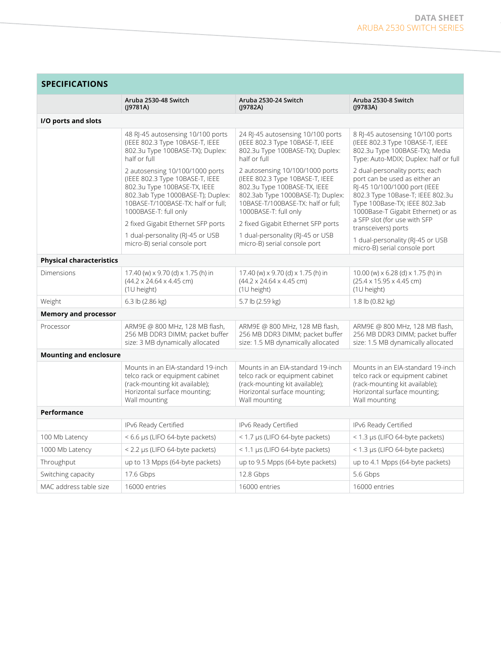| <b>SPECIFICATIONS</b>           |                                                                                                                                                                                                        |                                                                                                                                                                                                        |                                                                                                                                                                                                            |  |
|---------------------------------|--------------------------------------------------------------------------------------------------------------------------------------------------------------------------------------------------------|--------------------------------------------------------------------------------------------------------------------------------------------------------------------------------------------------------|------------------------------------------------------------------------------------------------------------------------------------------------------------------------------------------------------------|--|
|                                 | Aruba 2530-48 Switch<br>(19781A)                                                                                                                                                                       | Aruba 2530-24 Switch<br>(J9782A)                                                                                                                                                                       | Aruba 2530-8 Switch<br>$($  9783A)                                                                                                                                                                         |  |
| I/O ports and slots             |                                                                                                                                                                                                        |                                                                                                                                                                                                        |                                                                                                                                                                                                            |  |
|                                 | 48 RJ-45 autosensing 10/100 ports<br>(IEEE 802.3 Type 10BASE-T, IEEE<br>802.3u Type 100BASE-TX); Duplex:<br>half or full                                                                               | 24 RJ-45 autosensing 10/100 ports<br>(IEEE 802.3 Type 10BASE-T, IEEE<br>802.3u Type 100BASE-TX); Duplex:<br>half or full                                                                               | 8 RJ-45 autosensing 10/100 ports<br>(IEEE 802.3 Type 10BASE-T, IEEE<br>802.3u Type 100BASE-TX); Media<br>Type: Auto-MDIX; Duplex: half or full                                                             |  |
|                                 | 2 autosensing 10/100/1000 ports<br>(IEEE 802.3 Type 10BASE-T, IEEE<br>802.3u Type 100BASE-TX, IEEE<br>802.3ab Type 1000BASE-T); Duplex:<br>10BASE-T/100BASE-TX: half or full;<br>1000BASE-T: full only | 2 autosensing 10/100/1000 ports<br>(IEEE 802.3 Type 10BASE-T, IEEE<br>802.3u Type 100BASE-TX, IEEE<br>802.3ab Type 1000BASE-T); Duplex:<br>10BASE-T/100BASE-TX: half or full;<br>1000BASE-T: full only | 2 dual-personality ports; each<br>port can be used as either an<br>RJ-45 10/100/1000 port (IEEE<br>802.3 Type 10Base-T; IEEE 802.3u<br>Type 100Base-TX; IEEE 802.3ab<br>1000Base-T Gigabit Ethernet) or as |  |
|                                 | 2 fixed Gigabit Ethernet SFP ports                                                                                                                                                                     | 2 fixed Gigabit Ethernet SFP ports                                                                                                                                                                     | a SFP slot (for use with SFP<br>transceivers) ports                                                                                                                                                        |  |
|                                 | 1 dual-personality (RJ-45 or USB<br>micro-B) serial console port                                                                                                                                       | 1 dual-personality (RJ-45 or USB<br>micro-B) serial console port                                                                                                                                       | 1 dual-personality (RJ-45 or USB<br>micro-B) serial console port                                                                                                                                           |  |
| <b>Physical characteristics</b> |                                                                                                                                                                                                        |                                                                                                                                                                                                        |                                                                                                                                                                                                            |  |
| Dimensions                      | 17.40 (w) x 9.70 (d) x 1.75 (h) in<br>(44.2 x 24.64 x 4.45 cm)<br>(1U height)                                                                                                                          | 17.40 (w) x 9.70 (d) x 1.75 (h) in<br>(44.2 x 24.64 x 4.45 cm)<br>(1U height)                                                                                                                          | 10.00 (w) x 6.28 (d) x 1.75 (h) in<br>$(25.4 \times 15.95 \times 4.45$ cm)<br>(1U height)                                                                                                                  |  |
| Weight                          | 6.3 lb (2.86 kg)                                                                                                                                                                                       | 5.7 lb (2.59 kg)                                                                                                                                                                                       | 1.8 lb (0.82 kg)                                                                                                                                                                                           |  |
| <b>Memory and processor</b>     |                                                                                                                                                                                                        |                                                                                                                                                                                                        |                                                                                                                                                                                                            |  |
| Processor                       | ARM9E @ 800 MHz, 128 MB flash,<br>256 MB DDR3 DIMM; packet buffer<br>size: 3 MB dynamically allocated                                                                                                  | ARM9E @ 800 MHz, 128 MB flash,<br>256 MB DDR3 DIMM; packet buffer<br>size: 1.5 MB dynamically allocated                                                                                                | ARM9E @ 800 MHz, 128 MB flash,<br>256 MB DDR3 DIMM; packet buffer<br>size: 1.5 MB dynamically allocated                                                                                                    |  |
| <b>Mounting and enclosure</b>   |                                                                                                                                                                                                        |                                                                                                                                                                                                        |                                                                                                                                                                                                            |  |
|                                 | Mounts in an EIA-standard 19-inch<br>telco rack or equipment cabinet<br>(rack-mounting kit available);<br>Horizontal surface mounting;<br>Wall mounting                                                | Mounts in an EIA-standard 19-inch<br>telco rack or equipment cabinet<br>(rack-mounting kit available);<br>Horizontal surface mounting;<br>Wall mounting                                                | Mounts in an EIA-standard 19-inch<br>telco rack or equipment cabinet<br>(rack-mounting kit available);<br>Horizontal surface mounting;<br>Wall mounting                                                    |  |
| Performance                     |                                                                                                                                                                                                        |                                                                                                                                                                                                        |                                                                                                                                                                                                            |  |
|                                 | IPv6 Ready Certified                                                                                                                                                                                   | IPv6 Ready Certified                                                                                                                                                                                   | IPv6 Ready Certified                                                                                                                                                                                       |  |
| 100 Mb Latency                  | < 6.6 µs (LIFO 64-byte packets)                                                                                                                                                                        | < 1.7 µs (LIFO 64-byte packets)                                                                                                                                                                        | < 1.3 µs (LIFO 64-byte packets)                                                                                                                                                                            |  |
| 1000 Mb Latency                 | < 2.2 µs (LIFO 64-byte packets)                                                                                                                                                                        | < 1.1 µs (LIFO 64-byte packets)                                                                                                                                                                        | < 1.3 µs (LIFO 64-byte packets)                                                                                                                                                                            |  |
| Throughput                      | up to 13 Mpps (64-byte packets)                                                                                                                                                                        | up to 9.5 Mpps (64-byte packets)                                                                                                                                                                       | up to 4.1 Mpps (64-byte packets)                                                                                                                                                                           |  |
| Switching capacity              | 17.6 Gbps                                                                                                                                                                                              | 12.8 Gbps                                                                                                                                                                                              | 5.6 Gbps                                                                                                                                                                                                   |  |
| MAC address table size          | 16000 entries                                                                                                                                                                                          | 16000 entries                                                                                                                                                                                          | 16000 entries                                                                                                                                                                                              |  |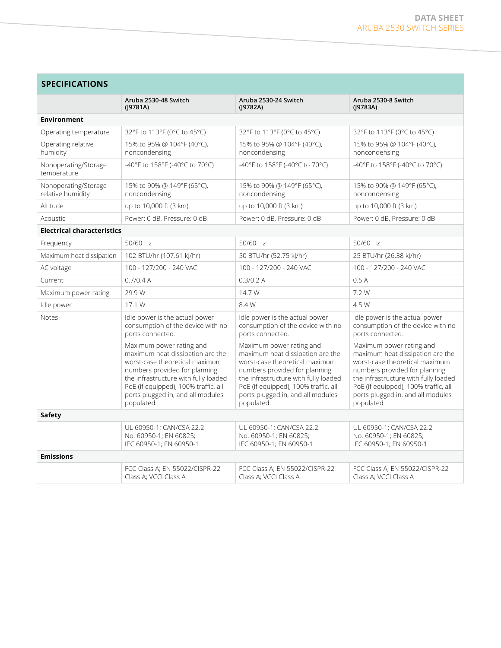| <b>SPECIFICATIONS</b>                     |                                                                                                                                                                                                                                                                    |                                                                                                                                                                                                                                                                    |                                                                                                                                                                                                                                                                    |  |
|-------------------------------------------|--------------------------------------------------------------------------------------------------------------------------------------------------------------------------------------------------------------------------------------------------------------------|--------------------------------------------------------------------------------------------------------------------------------------------------------------------------------------------------------------------------------------------------------------------|--------------------------------------------------------------------------------------------------------------------------------------------------------------------------------------------------------------------------------------------------------------------|--|
|                                           | Aruba 2530-48 Switch<br>(19781A)                                                                                                                                                                                                                                   | Aruba 2530-24 Switch<br>(19782A)                                                                                                                                                                                                                                   | Aruba 2530-8 Switch<br>(19783A)                                                                                                                                                                                                                                    |  |
| <b>Environment</b>                        |                                                                                                                                                                                                                                                                    |                                                                                                                                                                                                                                                                    |                                                                                                                                                                                                                                                                    |  |
| Operating temperature                     | 32°F to 113°F (0°C to 45°C)                                                                                                                                                                                                                                        | 32°F to 113°F (0°C to 45°C)                                                                                                                                                                                                                                        | 32°F to 113°F (0°C to 45°C)                                                                                                                                                                                                                                        |  |
| Operating relative<br>humidity            | 15% to 95% @ 104°F (40°C),<br>noncondensing                                                                                                                                                                                                                        | 15% to 95% @ 104°F (40°C),<br>noncondensing                                                                                                                                                                                                                        | 15% to 95% @ 104°F (40°C),<br>noncondensing                                                                                                                                                                                                                        |  |
| Nonoperating/Storage<br>temperature       | -40°F to 158°F (-40°C to 70°C)                                                                                                                                                                                                                                     | -40°F to 158°F (-40°C to 70°C)                                                                                                                                                                                                                                     | -40°F to 158°F (-40°C to 70°C)                                                                                                                                                                                                                                     |  |
| Nonoperating/Storage<br>relative humidity | 15% to 90% @ 149°F (65°C),<br>noncondensing                                                                                                                                                                                                                        | 15% to 90% @ 149°F (65°C),<br>noncondensing                                                                                                                                                                                                                        | 15% to 90% @ 149°F (65°C),<br>noncondensing                                                                                                                                                                                                                        |  |
| Altitude                                  | up to 10,000 ft (3 km)                                                                                                                                                                                                                                             | up to 10,000 ft (3 km)                                                                                                                                                                                                                                             | up to 10,000 ft (3 km)                                                                                                                                                                                                                                             |  |
| Acoustic                                  | Power: 0 dB, Pressure: 0 dB                                                                                                                                                                                                                                        | Power: 0 dB, Pressure: 0 dB                                                                                                                                                                                                                                        | Power: 0 dB, Pressure: 0 dB                                                                                                                                                                                                                                        |  |
| <b>Electrical characteristics</b>         |                                                                                                                                                                                                                                                                    |                                                                                                                                                                                                                                                                    |                                                                                                                                                                                                                                                                    |  |
| Frequency                                 | 50/60 Hz                                                                                                                                                                                                                                                           | 50/60 Hz                                                                                                                                                                                                                                                           | 50/60 Hz                                                                                                                                                                                                                                                           |  |
| Maximum heat dissipation                  | 102 BTU/hr (107.61 kJ/hr)                                                                                                                                                                                                                                          | 50 BTU/hr (52.75 kJ/hr)                                                                                                                                                                                                                                            | 25 BTU/hr (26.38 kJ/hr)                                                                                                                                                                                                                                            |  |
| AC voltage                                | 100 - 127/200 - 240 VAC                                                                                                                                                                                                                                            | 100 - 127/200 - 240 VAC                                                                                                                                                                                                                                            | 100 - 127/200 - 240 VAC                                                                                                                                                                                                                                            |  |
| Current                                   | 0.7/0.4 A                                                                                                                                                                                                                                                          | 0.3/0.2 A                                                                                                                                                                                                                                                          | 0.5A                                                                                                                                                                                                                                                               |  |
| Maximum power rating                      | 29.9 W                                                                                                                                                                                                                                                             | 14.7 W                                                                                                                                                                                                                                                             | 7.2 W                                                                                                                                                                                                                                                              |  |
| Idle power                                | 17.1 W                                                                                                                                                                                                                                                             | 8.4 W                                                                                                                                                                                                                                                              | 4.5 W                                                                                                                                                                                                                                                              |  |
| Notes                                     | Idle power is the actual power<br>consumption of the device with no<br>ports connected.                                                                                                                                                                            | Idle power is the actual power<br>consumption of the device with no<br>ports connected.                                                                                                                                                                            | Idle power is the actual power<br>consumption of the device with no<br>ports connected.                                                                                                                                                                            |  |
|                                           | Maximum power rating and<br>maximum heat dissipation are the<br>worst-case theoretical maximum<br>numbers provided for planning<br>the infrastructure with fully loaded<br>PoE (if equipped), 100% traffic, all<br>ports plugged in, and all modules<br>populated. | Maximum power rating and<br>maximum heat dissipation are the<br>worst-case theoretical maximum<br>numbers provided for planning<br>the infrastructure with fully loaded<br>PoE (if equipped), 100% traffic, all<br>ports plugged in, and all modules<br>populated. | Maximum power rating and<br>maximum heat dissipation are the<br>worst-case theoretical maximum<br>numbers provided for planning<br>the infrastructure with fully loaded<br>PoE (if equipped), 100% traffic, all<br>ports plugged in, and all modules<br>populated. |  |
| <b>Safety</b>                             |                                                                                                                                                                                                                                                                    |                                                                                                                                                                                                                                                                    |                                                                                                                                                                                                                                                                    |  |
|                                           | UL 60950-1; CAN/CSA 22.2<br>No. 60950-1; EN 60825;<br>IEC 60950-1; EN 60950-1                                                                                                                                                                                      | UL 60950-1; CAN/CSA 22.2<br>No. 60950-1; EN 60825;<br>IEC 60950-1; EN 60950-1                                                                                                                                                                                      | UL 60950-1; CAN/CSA 22.2<br>No. 60950-1; EN 60825;<br>IEC 60950-1; EN 60950-1                                                                                                                                                                                      |  |
| <b>Emissions</b>                          |                                                                                                                                                                                                                                                                    |                                                                                                                                                                                                                                                                    |                                                                                                                                                                                                                                                                    |  |
|                                           | FCC Class A; EN 55022/CISPR-22<br>Class A; VCCI Class A                                                                                                                                                                                                            | FCC Class A; EN 55022/CISPR-22<br>Class A; VCCI Class A                                                                                                                                                                                                            | FCC Class A; EN 55022/CISPR-22<br>Class A; VCCI Class A                                                                                                                                                                                                            |  |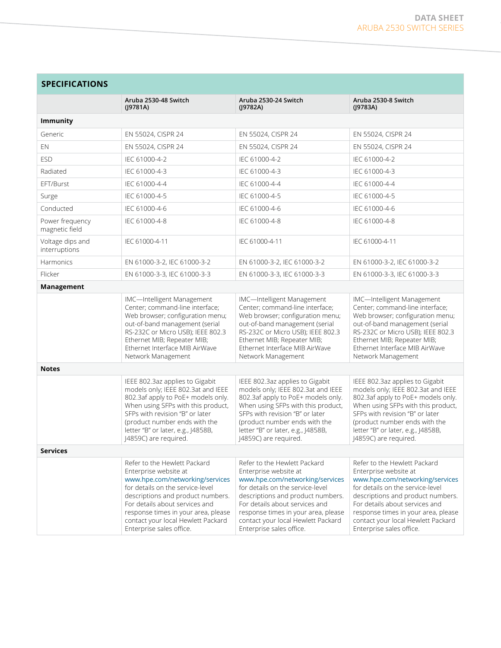| <b>SPECIFICATIONS</b>             |                                                                                                                                                                                                                                                                                                              |                                                                                                                                                                                                                                                                                                              |                                                                                                                                                                                                                                                                                                              |  |
|-----------------------------------|--------------------------------------------------------------------------------------------------------------------------------------------------------------------------------------------------------------------------------------------------------------------------------------------------------------|--------------------------------------------------------------------------------------------------------------------------------------------------------------------------------------------------------------------------------------------------------------------------------------------------------------|--------------------------------------------------------------------------------------------------------------------------------------------------------------------------------------------------------------------------------------------------------------------------------------------------------------|--|
|                                   | Aruba 2530-48 Switch<br>$($  9781A)                                                                                                                                                                                                                                                                          | Aruba 2530-24 Switch<br>$($  9782A)                                                                                                                                                                                                                                                                          | Aruba 2530-8 Switch<br>(J9783A)                                                                                                                                                                                                                                                                              |  |
| <b>Immunity</b>                   |                                                                                                                                                                                                                                                                                                              |                                                                                                                                                                                                                                                                                                              |                                                                                                                                                                                                                                                                                                              |  |
| Generic                           | EN 55024, CISPR 24                                                                                                                                                                                                                                                                                           | EN 55024, CISPR 24                                                                                                                                                                                                                                                                                           | EN 55024, CISPR 24                                                                                                                                                                                                                                                                                           |  |
| EN                                | EN 55024, CISPR 24                                                                                                                                                                                                                                                                                           | EN 55024, CISPR 24                                                                                                                                                                                                                                                                                           | EN 55024, CISPR 24                                                                                                                                                                                                                                                                                           |  |
| <b>ESD</b>                        | IEC 61000-4-2                                                                                                                                                                                                                                                                                                | IEC 61000-4-2                                                                                                                                                                                                                                                                                                | IEC 61000-4-2                                                                                                                                                                                                                                                                                                |  |
| Radiated                          | IEC 61000-4-3                                                                                                                                                                                                                                                                                                | IEC 61000-4-3                                                                                                                                                                                                                                                                                                | IEC 61000-4-3                                                                                                                                                                                                                                                                                                |  |
| EFT/Burst                         | IEC 61000-4-4                                                                                                                                                                                                                                                                                                | IEC 61000-4-4                                                                                                                                                                                                                                                                                                | IEC 61000-4-4                                                                                                                                                                                                                                                                                                |  |
| Surge                             | IEC 61000-4-5                                                                                                                                                                                                                                                                                                | IEC 61000-4-5                                                                                                                                                                                                                                                                                                | IEC 61000-4-5                                                                                                                                                                                                                                                                                                |  |
| Conducted                         | IEC 61000-4-6                                                                                                                                                                                                                                                                                                | IEC 61000-4-6                                                                                                                                                                                                                                                                                                | IEC 61000-4-6                                                                                                                                                                                                                                                                                                |  |
| Power frequency<br>magnetic field | IEC 61000-4-8                                                                                                                                                                                                                                                                                                | IEC 61000-4-8                                                                                                                                                                                                                                                                                                | IEC 61000-4-8                                                                                                                                                                                                                                                                                                |  |
| Voltage dips and<br>interruptions | IEC 61000-4-11                                                                                                                                                                                                                                                                                               | IEC 61000-4-11                                                                                                                                                                                                                                                                                               | IEC 61000-4-11                                                                                                                                                                                                                                                                                               |  |
| Harmonics                         | EN 61000-3-2, IEC 61000-3-2                                                                                                                                                                                                                                                                                  | EN 61000-3-2, IEC 61000-3-2                                                                                                                                                                                                                                                                                  | EN 61000-3-2, IEC 61000-3-2                                                                                                                                                                                                                                                                                  |  |
| Flicker                           | EN 61000-3-3, IEC 61000-3-3                                                                                                                                                                                                                                                                                  | EN 61000-3-3, IEC 61000-3-3                                                                                                                                                                                                                                                                                  | EN 61000-3-3, IEC 61000-3-3                                                                                                                                                                                                                                                                                  |  |
| Management                        |                                                                                                                                                                                                                                                                                                              |                                                                                                                                                                                                                                                                                                              |                                                                                                                                                                                                                                                                                                              |  |
|                                   | IMC-Intelligent Management<br>Center; command-line interface;<br>Web browser; configuration menu;<br>out-of-band management (serial<br>RS-232C or Micro USB); IEEE 802.3<br>Ethernet MIB; Repeater MIB;<br>Ethernet Interface MIB AirWave<br>Network Management                                              | IMC-Intelligent Management<br>Center; command-line interface;<br>Web browser; configuration menu;<br>out-of-band management (serial<br>RS-232C or Micro USB); IEEE 802.3<br>Ethernet MIB; Repeater MIB;<br>Ethernet Interface MIB AirWave<br>Network Management                                              | IMC-Intelligent Management<br>Center; command-line interface;<br>Web browser; configuration menu;<br>out-of-band management (serial<br>RS-232C or Micro USB); IEEE 802.3<br>Ethernet MIB; Repeater MIB;<br>Ethernet Interface MIB AirWave<br>Network Management                                              |  |
| <b>Notes</b>                      |                                                                                                                                                                                                                                                                                                              |                                                                                                                                                                                                                                                                                                              |                                                                                                                                                                                                                                                                                                              |  |
|                                   | IEEE 802.3az applies to Gigabit<br>models only; IEEE 802.3at and IEEE<br>802.3af apply to PoE+ models only.<br>When using SFPs with this product,<br>SFPs with revision "B" or later<br>(product number ends with the<br>letter "B" or later, e.g., J4858B,<br>J4859C) are required.                         | IEEE 802.3az applies to Gigabit<br>models only; IEEE 802.3at and IEEE<br>802.3af apply to PoE+ models only.<br>When using SFPs with this product,<br>SFPs with revision "B" or later<br>(product number ends with the<br>letter "B" or later, e.g., J4858B,<br>J4859C) are required.                         | IEEE 802.3az applies to Gigabit<br>models only; IEEE 802.3at and IEEE<br>802.3af apply to PoE+ models only.<br>When using SFPs with this product,<br>SFPs with revision "B" or later<br>(product number ends with the<br>letter "B" or later, e.g., J4858B,<br>J4859C) are required.                         |  |
| <b>Services</b>                   |                                                                                                                                                                                                                                                                                                              |                                                                                                                                                                                                                                                                                                              |                                                                                                                                                                                                                                                                                                              |  |
|                                   | Refer to the Hewlett Packard<br>Enterprise website at<br>www.hpe.com/networking/services<br>for details on the service-level<br>descriptions and product numbers.<br>For details about services and<br>response times in your area, please<br>contact your local Hewlett Packard<br>Enterprise sales office. | Refer to the Hewlett Packard<br>Enterprise website at<br>www.hpe.com/networking/services<br>for details on the service-level<br>descriptions and product numbers.<br>For details about services and<br>response times in your area, please<br>contact your local Hewlett Packard<br>Enterprise sales office. | Refer to the Hewlett Packard<br>Enterprise website at<br>www.hpe.com/networking/services<br>for details on the service-level<br>descriptions and product numbers.<br>For details about services and<br>response times in your area, please<br>contact your local Hewlett Packard<br>Enterprise sales office. |  |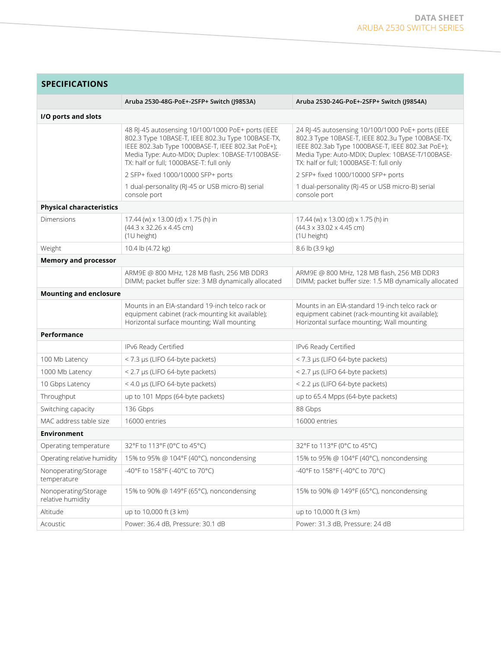| <b>SPECIFICATIONS</b>                     |                                                                                                                                                                                                                                                            |                                                                                                                                                                                                                                                            |
|-------------------------------------------|------------------------------------------------------------------------------------------------------------------------------------------------------------------------------------------------------------------------------------------------------------|------------------------------------------------------------------------------------------------------------------------------------------------------------------------------------------------------------------------------------------------------------|
|                                           | Aruba 2530-48G-PoE+-2SFP+ Switch (J9853A)                                                                                                                                                                                                                  | Aruba 2530-24G-PoE+-2SFP+ Switch (J9854A)                                                                                                                                                                                                                  |
| I/O ports and slots                       |                                                                                                                                                                                                                                                            |                                                                                                                                                                                                                                                            |
|                                           | 48 RJ-45 autosensing 10/100/1000 PoE+ ports (IEEE<br>802.3 Type 10BASE-T, IEEE 802.3u Type 100BASE-TX,<br>IEEE 802.3ab Type 1000BASE-T, IEEE 802.3at PoE+);<br>Media Type: Auto-MDIX; Duplex: 10BASE-T/100BASE-<br>TX: half or full; 1000BASE-T: full only | 24 RJ-45 autosensing 10/100/1000 PoE+ ports (IEEE<br>802.3 Type 10BASE-T, IEEE 802.3u Type 100BASE-TX,<br>IEEE 802.3ab Type 1000BASE-T, IEEE 802.3at PoE+);<br>Media Type: Auto-MDIX; Duplex: 10BASE-T/100BASE-<br>TX: half or full; 1000BASE-T: full only |
|                                           | 2 SFP+ fixed 1000/10000 SFP+ ports                                                                                                                                                                                                                         | 2 SFP+ fixed 1000/10000 SFP+ ports                                                                                                                                                                                                                         |
|                                           | 1 dual-personality (RJ-45 or USB micro-B) serial<br>console port                                                                                                                                                                                           | 1 dual-personality (RJ-45 or USB micro-B) serial<br>console port                                                                                                                                                                                           |
| <b>Physical characteristics</b>           |                                                                                                                                                                                                                                                            |                                                                                                                                                                                                                                                            |
| Dimensions                                | 17.44 (w) x 13.00 (d) x 1.75 (h) in<br>$(44.3 \times 32.26 \times 4.45$ cm)<br>(1U height)                                                                                                                                                                 | 17.44 (w) x 13.00 (d) x 1.75 (h) in<br>$(44.3 \times 33.02 \times 4.45$ cm)<br>(1U height)                                                                                                                                                                 |
| Weight                                    | 10.4 lb (4.72 kg)                                                                                                                                                                                                                                          | 8.6 lb (3.9 kg)                                                                                                                                                                                                                                            |
| <b>Memory and processor</b>               |                                                                                                                                                                                                                                                            |                                                                                                                                                                                                                                                            |
|                                           | ARM9E @ 800 MHz, 128 MB flash, 256 MB DDR3<br>DIMM; packet buffer size: 3 MB dynamically allocated                                                                                                                                                         | ARM9E @ 800 MHz, 128 MB flash, 256 MB DDR3<br>DIMM; packet buffer size: 1.5 MB dynamically allocated                                                                                                                                                       |
| <b>Mounting and enclosure</b>             |                                                                                                                                                                                                                                                            |                                                                                                                                                                                                                                                            |
|                                           | Mounts in an EIA-standard 19-inch telco rack or<br>equipment cabinet (rack-mounting kit available);<br>Horizontal surface mounting; Wall mounting                                                                                                          | Mounts in an EIA-standard 19-inch telco rack or<br>equipment cabinet (rack-mounting kit available);<br>Horizontal surface mounting; Wall mounting                                                                                                          |
| Performance                               |                                                                                                                                                                                                                                                            |                                                                                                                                                                                                                                                            |
|                                           | IPv6 Ready Certified                                                                                                                                                                                                                                       | IPv6 Ready Certified                                                                                                                                                                                                                                       |
| 100 Mb Latency                            | < 7.3 µs (LIFO 64-byte packets)                                                                                                                                                                                                                            | < 7.3 µs (LIFO 64-byte packets)                                                                                                                                                                                                                            |
| 1000 Mb Latency                           | < 2.7 µs (LIFO 64-byte packets)                                                                                                                                                                                                                            | < 2.7 µs (LIFO 64-byte packets)                                                                                                                                                                                                                            |
| 10 Gbps Latency                           | < 4.0 µs (LIFO 64-byte packets)                                                                                                                                                                                                                            | < 2.2 µs (LIFO 64-byte packets)                                                                                                                                                                                                                            |
| Throughput                                | up to 101 Mpps (64-byte packets)                                                                                                                                                                                                                           | up to 65.4 Mpps (64-byte packets)                                                                                                                                                                                                                          |
| Switching capacity                        | 136 Gbps                                                                                                                                                                                                                                                   | 88 Gbps                                                                                                                                                                                                                                                    |
| MAC address table size                    | 16000 entries                                                                                                                                                                                                                                              | 16000 entries                                                                                                                                                                                                                                              |
| Environment                               |                                                                                                                                                                                                                                                            |                                                                                                                                                                                                                                                            |
| Operating temperature                     | 32°F to 113°F (0°C to 45°C)                                                                                                                                                                                                                                | 32°F to 113°F (0°C to 45°C)                                                                                                                                                                                                                                |
| Operating relative humidity               | 15% to 95% @ 104°F (40°C), noncondensing                                                                                                                                                                                                                   | 15% to 95% @ 104°F (40°C), noncondensing                                                                                                                                                                                                                   |
| Nonoperating/Storage<br>temperature       | -40°F to 158°F (-40°C to 70°C)                                                                                                                                                                                                                             | -40°F to 158°F (-40°C to 70°C)                                                                                                                                                                                                                             |
| Nonoperating/Storage<br>relative humidity | 15% to 90% @ 149°F (65°C), noncondensing                                                                                                                                                                                                                   | 15% to 90% @ 149°F (65°C), noncondensing                                                                                                                                                                                                                   |
| Altitude                                  | up to 10,000 ft (3 km)                                                                                                                                                                                                                                     | up to 10,000 ft (3 km)                                                                                                                                                                                                                                     |
| Acoustic                                  | Power: 36.4 dB, Pressure: 30.1 dB                                                                                                                                                                                                                          | Power: 31.3 dB, Pressure: 24 dB                                                                                                                                                                                                                            |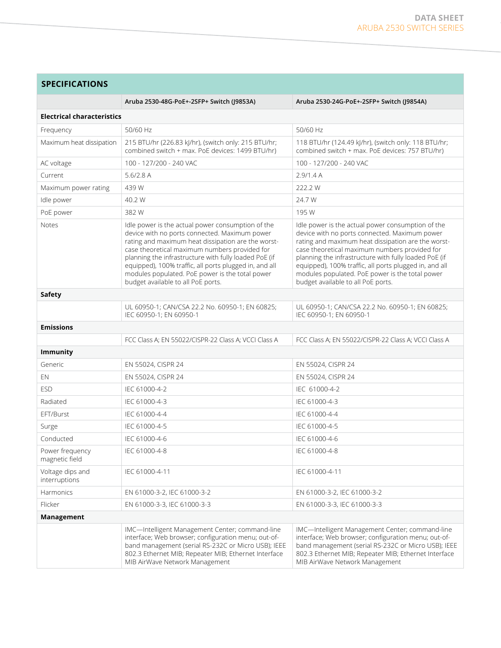# **SPECIFICATIONS**

|                                   | Aruba 2530-48G-PoE+-2SFP+ Switch (J9853A)                                                                                                                                                                                                                                                                                                                                                                             | Aruba 2530-24G-PoE+-2SFP+ Switch (J9854A)                                                                                                                                                                                                                                                                                                                                                                             |  |
|-----------------------------------|-----------------------------------------------------------------------------------------------------------------------------------------------------------------------------------------------------------------------------------------------------------------------------------------------------------------------------------------------------------------------------------------------------------------------|-----------------------------------------------------------------------------------------------------------------------------------------------------------------------------------------------------------------------------------------------------------------------------------------------------------------------------------------------------------------------------------------------------------------------|--|
| <b>Electrical characteristics</b> |                                                                                                                                                                                                                                                                                                                                                                                                                       |                                                                                                                                                                                                                                                                                                                                                                                                                       |  |
| Frequency                         | 50/60 Hz                                                                                                                                                                                                                                                                                                                                                                                                              | 50/60 Hz                                                                                                                                                                                                                                                                                                                                                                                                              |  |
| Maximum heat dissipation          | 215 BTU/hr (226.83 kJ/hr), (switch only: 215 BTU/hr;<br>combined switch + max. PoE devices: 1499 BTU/hr)                                                                                                                                                                                                                                                                                                              | 118 BTU/hr (124.49 kJ/hr), (switch only: 118 BTU/hr;<br>combined switch + max. PoE devices: 757 BTU/hr)                                                                                                                                                                                                                                                                                                               |  |
| AC voltage                        | 100 - 127/200 - 240 VAC                                                                                                                                                                                                                                                                                                                                                                                               | 100 - 127/200 - 240 VAC                                                                                                                                                                                                                                                                                                                                                                                               |  |
| Current                           | 5.6/2.8A                                                                                                                                                                                                                                                                                                                                                                                                              | 2.9/1.4A                                                                                                                                                                                                                                                                                                                                                                                                              |  |
| Maximum power rating              | 439 W                                                                                                                                                                                                                                                                                                                                                                                                                 | 222.2 W                                                                                                                                                                                                                                                                                                                                                                                                               |  |
| Idle power                        | 40.2 W                                                                                                                                                                                                                                                                                                                                                                                                                | 24.7 W                                                                                                                                                                                                                                                                                                                                                                                                                |  |
| PoE power                         | 382W                                                                                                                                                                                                                                                                                                                                                                                                                  | 195 W                                                                                                                                                                                                                                                                                                                                                                                                                 |  |
| <b>Notes</b>                      | Idle power is the actual power consumption of the<br>device with no ports connected. Maximum power<br>rating and maximum heat dissipation are the worst-<br>case theoretical maximum numbers provided for<br>planning the infrastructure with fully loaded PoE (if<br>equipped), 100% traffic, all ports plugged in, and all<br>modules populated. PoE power is the total power<br>budget available to all PoE ports. | Idle power is the actual power consumption of the<br>device with no ports connected. Maximum power<br>rating and maximum heat dissipation are the worst-<br>case theoretical maximum numbers provided for<br>planning the infrastructure with fully loaded PoE (if<br>equipped), 100% traffic, all ports plugged in, and all<br>modules populated. PoE power is the total power<br>budget available to all PoE ports. |  |
| <b>Safety</b>                     |                                                                                                                                                                                                                                                                                                                                                                                                                       |                                                                                                                                                                                                                                                                                                                                                                                                                       |  |
|                                   | UL 60950-1; CAN/CSA 22.2 No. 60950-1; EN 60825;<br>IEC 60950-1; EN 60950-1                                                                                                                                                                                                                                                                                                                                            | UL 60950-1; CAN/CSA 22.2 No. 60950-1; EN 60825;<br>IEC 60950-1: EN 60950-1                                                                                                                                                                                                                                                                                                                                            |  |
| <b>Emissions</b>                  |                                                                                                                                                                                                                                                                                                                                                                                                                       |                                                                                                                                                                                                                                                                                                                                                                                                                       |  |
|                                   | FCC Class A; EN 55022/CISPR-22 Class A; VCCI Class A                                                                                                                                                                                                                                                                                                                                                                  | FCC Class A; EN 55022/CISPR-22 Class A; VCCI Class A                                                                                                                                                                                                                                                                                                                                                                  |  |
| Immunity                          |                                                                                                                                                                                                                                                                                                                                                                                                                       |                                                                                                                                                                                                                                                                                                                                                                                                                       |  |
| Generic                           | EN 55024, CISPR 24                                                                                                                                                                                                                                                                                                                                                                                                    | EN 55024, CISPR 24                                                                                                                                                                                                                                                                                                                                                                                                    |  |
| EN                                | EN 55024, CISPR 24                                                                                                                                                                                                                                                                                                                                                                                                    | EN 55024, CISPR 24                                                                                                                                                                                                                                                                                                                                                                                                    |  |
| <b>ESD</b>                        | IEC 61000-4-2                                                                                                                                                                                                                                                                                                                                                                                                         | IEC 61000-4-2                                                                                                                                                                                                                                                                                                                                                                                                         |  |
| Radiated                          | IEC 61000-4-3                                                                                                                                                                                                                                                                                                                                                                                                         | IEC 61000-4-3                                                                                                                                                                                                                                                                                                                                                                                                         |  |
| EFT/Burst                         | IEC 61000-4-4                                                                                                                                                                                                                                                                                                                                                                                                         | IEC 61000-4-4                                                                                                                                                                                                                                                                                                                                                                                                         |  |
| Surge                             | IEC 61000-4-5                                                                                                                                                                                                                                                                                                                                                                                                         | IEC 61000-4-5                                                                                                                                                                                                                                                                                                                                                                                                         |  |
| Conducted                         | IEC 61000-4-6                                                                                                                                                                                                                                                                                                                                                                                                         | IEC 61000-4-6                                                                                                                                                                                                                                                                                                                                                                                                         |  |
| Power frequency<br>magnetic field | IEC 61000-4-8                                                                                                                                                                                                                                                                                                                                                                                                         | IEC 61000-4-8                                                                                                                                                                                                                                                                                                                                                                                                         |  |
| Voltage dips and<br>interruptions | IEC 61000-4-11                                                                                                                                                                                                                                                                                                                                                                                                        | IEC 61000-4-11                                                                                                                                                                                                                                                                                                                                                                                                        |  |
| Harmonics                         | EN 61000-3-2, IEC 61000-3-2                                                                                                                                                                                                                                                                                                                                                                                           | EN 61000-3-2, IEC 61000-3-2                                                                                                                                                                                                                                                                                                                                                                                           |  |
| Flicker                           | EN 61000-3-3, IEC 61000-3-3                                                                                                                                                                                                                                                                                                                                                                                           | EN 61000-3-3, IEC 61000-3-3                                                                                                                                                                                                                                                                                                                                                                                           |  |
| Management                        |                                                                                                                                                                                                                                                                                                                                                                                                                       |                                                                                                                                                                                                                                                                                                                                                                                                                       |  |
|                                   | IMC-Intelligent Management Center; command-line<br>interface; Web browser; configuration menu; out-of-<br>band management (serial RS-232C or Micro USB); IEEE<br>802.3 Ethernet MIB; Repeater MIB; Ethernet Interface<br>MIB AirWave Network Management                                                                                                                                                               | IMC-Intelligent Management Center; command-line<br>interface; Web browser; configuration menu; out-of-<br>band management (serial RS-232C or Micro USB); IEEE<br>802.3 Ethernet MIB; Repeater MIB; Ethernet Interface<br>MIB AirWave Network Management                                                                                                                                                               |  |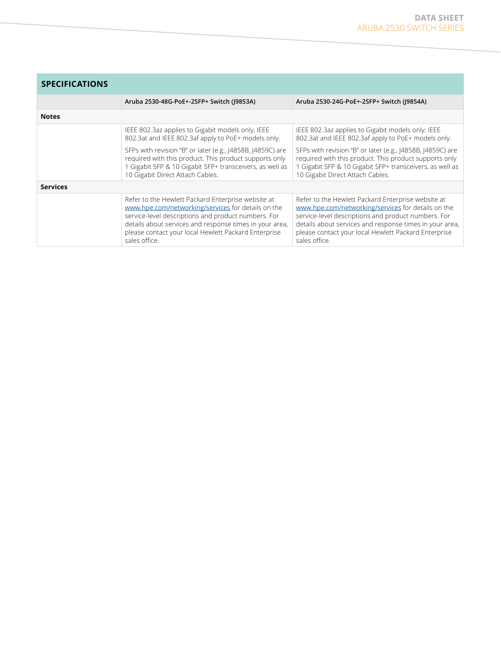| <b>SPECIFICATIONS</b> |                                                                                                                                                                                                                                                                                                     |                                                                                                                                                                                                                                                                                                     |  |
|-----------------------|-----------------------------------------------------------------------------------------------------------------------------------------------------------------------------------------------------------------------------------------------------------------------------------------------------|-----------------------------------------------------------------------------------------------------------------------------------------------------------------------------------------------------------------------------------------------------------------------------------------------------|--|
|                       | Aruba 2530-48G-PoE+-2SFP+ Switch (J9853A)                                                                                                                                                                                                                                                           | Aruba 2530-24G-PoE+-2SFP+ Switch (J9854A)                                                                                                                                                                                                                                                           |  |
| <b>Notes</b>          |                                                                                                                                                                                                                                                                                                     |                                                                                                                                                                                                                                                                                                     |  |
|                       | IEEE 802.3az applies to Gigabit models only; IEEE<br>802.3at and IEEE 802.3af apply to PoE+ models only.                                                                                                                                                                                            | IEEE 802.3az applies to Gigabit models only; IEEE<br>802.3at and IEEE 802.3af apply to PoE+ models only.                                                                                                                                                                                            |  |
|                       | SFPs with revision "B" or later (e.g., J4858B, J4859C) are<br>required with this product. This product supports only<br>1 Gigabit SFP & 10 Gigabit SFP+ transceivers, as well as<br>10 Gigabit Direct Attach Cables.                                                                                | SFPs with revision "B" or later (e.g., J4858B, J4859C) are<br>required with this product. This product supports only<br>Gigabit SFP & 10 Gigabit SFP+ transceivers, as well as<br>10 Gigabit Direct Attach Cables.                                                                                  |  |
| <b>Services</b>       |                                                                                                                                                                                                                                                                                                     |                                                                                                                                                                                                                                                                                                     |  |
|                       | Refer to the Hewlett Packard Enterprise website at<br>www.hpe.com/networking/services for details on the<br>service-level descriptions and product numbers. For<br>details about services and response times in your area,<br>please contact your local Hewlett Packard Enterprise<br>sales office. | Refer to the Hewlett Packard Enterprise website at<br>www.hpe.com/networking/services for details on the<br>service-level descriptions and product numbers. For<br>details about services and response times in your area,<br>please contact your local Hewlett Packard Enterprise<br>sales office. |  |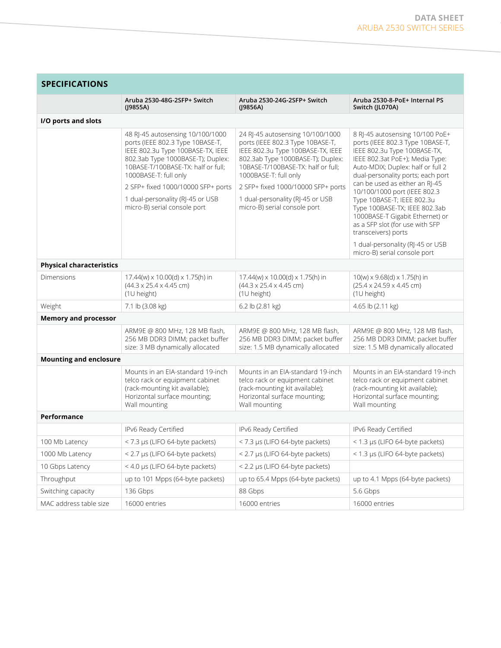| <b>SPECIFICATIONS</b>           |                                                                                                                                                                                                               |                                                                                                                                                                                                               |                                                                                                                                                                                                                  |
|---------------------------------|---------------------------------------------------------------------------------------------------------------------------------------------------------------------------------------------------------------|---------------------------------------------------------------------------------------------------------------------------------------------------------------------------------------------------------------|------------------------------------------------------------------------------------------------------------------------------------------------------------------------------------------------------------------|
|                                 | Aruba 2530-48G-2SFP+ Switch<br>$($  9855A)                                                                                                                                                                    | Aruba 2530-24G-2SFP+ Switch<br>$($  9856A)                                                                                                                                                                    | Aruba 2530-8-PoE+ Internal PS<br>Switch (JL070A)                                                                                                                                                                 |
| I/O ports and slots             |                                                                                                                                                                                                               |                                                                                                                                                                                                               |                                                                                                                                                                                                                  |
|                                 | 48 RJ-45 autosensing 10/100/1000<br>ports (IEEE 802.3 Type 10BASE-T,<br>IEEE 802.3u Type 100BASE-TX, IEEE<br>802.3ab Type 1000BASE-T); Duplex:<br>10BASE-T/100BASE-TX: half or full;<br>1000BASE-T: full only | 24 RJ-45 autosensing 10/100/1000<br>ports (IEEE 802.3 Type 10BASE-T,<br>IEEE 802.3u Type 100BASE-TX, IEEE<br>802.3ab Type 1000BASE-T); Duplex:<br>10BASE-T/100BASE-TX: half or full;<br>1000BASE-T: full only | 8 RJ-45 autosensing 10/100 PoE+<br>ports (IEEE 802.3 Type 10BASE-T,<br>IEEE 802.3u Type 100BASE-TX,<br>IEEE 802.3at PoE+); Media Type:<br>Auto-MDIX; Duplex: half or full 2<br>dual-personality ports; each port |
|                                 | 2 SFP+ fixed 1000/10000 SFP+ ports                                                                                                                                                                            | 2 SFP+ fixed 1000/10000 SFP+ ports                                                                                                                                                                            | can be used as either an RI-45<br>10/100/1000 port (IEEE 802.3                                                                                                                                                   |
|                                 | 1 dual-personality (RJ-45 or USB<br>micro-B) serial console port                                                                                                                                              | 1 dual-personality (RJ-45 or USB<br>micro-B) serial console port                                                                                                                                              | Type 10BASE-T; IEEE 802.3u<br>Type 100BASE-TX; IEEE 802.3ab<br>1000BASE-T Gigabit Ethernet) or<br>as a SFP slot (for use with SFP<br>transceivers) ports                                                         |
|                                 |                                                                                                                                                                                                               |                                                                                                                                                                                                               | 1 dual-personality (RJ-45 or USB<br>micro-B) serial console port                                                                                                                                                 |
| <b>Physical characteristics</b> |                                                                                                                                                                                                               |                                                                                                                                                                                                               |                                                                                                                                                                                                                  |
| Dimensions                      | $17.44(w) \times 10.00(d) \times 1.75(h)$ in<br>$(44.3 \times 25.4 \times 4.45$ cm)<br>(1U height)                                                                                                            | $17.44(w) \times 10.00(d) \times 1.75(h)$ in<br>$(44.3 \times 25.4 \times 4.45$ cm)<br>(1U height)                                                                                                            | $10(w) \times 9.68(d) \times 1.75(h)$ in<br>$(25.4 \times 24.59 \times 4.45$ cm)<br>(1U height)                                                                                                                  |
| Weight                          | 7.1 lb (3.08 kg)                                                                                                                                                                                              | 6.2 lb (2.81 kg)                                                                                                                                                                                              | 4.65 lb (2.11 kg)                                                                                                                                                                                                |
| <b>Memory and processor</b>     |                                                                                                                                                                                                               |                                                                                                                                                                                                               |                                                                                                                                                                                                                  |
|                                 | ARM9E @ 800 MHz, 128 MB flash,<br>256 MB DDR3 DIMM; packet buffer<br>size: 3 MB dynamically allocated                                                                                                         | ARM9E @ 800 MHz, 128 MB flash,<br>256 MB DDR3 DIMM; packet buffer<br>size: 1.5 MB dynamically allocated                                                                                                       | ARM9E @ 800 MHz, 128 MB flash,<br>256 MB DDR3 DIMM; packet buffer<br>size: 1.5 MB dynamically allocated                                                                                                          |
| <b>Mounting and enclosure</b>   |                                                                                                                                                                                                               |                                                                                                                                                                                                               |                                                                                                                                                                                                                  |
|                                 | Mounts in an EIA-standard 19-inch<br>telco rack or equipment cabinet<br>(rack-mounting kit available);<br>Horizontal surface mounting;<br>Wall mounting                                                       | Mounts in an EIA-standard 19-inch<br>telco rack or equipment cabinet<br>(rack-mounting kit available);<br>Horizontal surface mounting;<br>Wall mounting                                                       | Mounts in an EIA-standard 19-inch<br>telco rack or equipment cabinet<br>(rack-mounting kit available);<br>Horizontal surface mounting;<br>Wall mounting                                                          |
| Performance                     |                                                                                                                                                                                                               |                                                                                                                                                                                                               |                                                                                                                                                                                                                  |
|                                 | IPv6 Ready Certified                                                                                                                                                                                          | IPv6 Ready Certified                                                                                                                                                                                          | IPv6 Ready Certified                                                                                                                                                                                             |
| 100 Mb Latency                  | < 7.3 µs (LIFO 64-byte packets)                                                                                                                                                                               | < 7.3 µs (LIFO 64-byte packets)                                                                                                                                                                               | < 1.3 µs (LIFO 64-byte packets)                                                                                                                                                                                  |
| 1000 Mb Latency                 | < 2.7 µs (LIFO 64-byte packets)                                                                                                                                                                               | < 2.7 µs (LIFO 64-byte packets)                                                                                                                                                                               | < 1.3 µs (LIFO 64-byte packets)                                                                                                                                                                                  |
| 10 Gbps Latency                 | < 4.0 µs (LIFO 64-byte packets)                                                                                                                                                                               | < 2.2 µs (LIFO 64-byte packets)                                                                                                                                                                               |                                                                                                                                                                                                                  |
| Throughput                      | up to 101 Mpps (64-byte packets)                                                                                                                                                                              | up to 65.4 Mpps (64-byte packets)                                                                                                                                                                             | up to 4.1 Mpps (64-byte packets)                                                                                                                                                                                 |
| Switching capacity              | 136 Gbps                                                                                                                                                                                                      | 88 Gbps                                                                                                                                                                                                       | 5.6 Gbps                                                                                                                                                                                                         |
| MAC address table size          | 16000 entries                                                                                                                                                                                                 | 16000 entries                                                                                                                                                                                                 | 16000 entries                                                                                                                                                                                                    |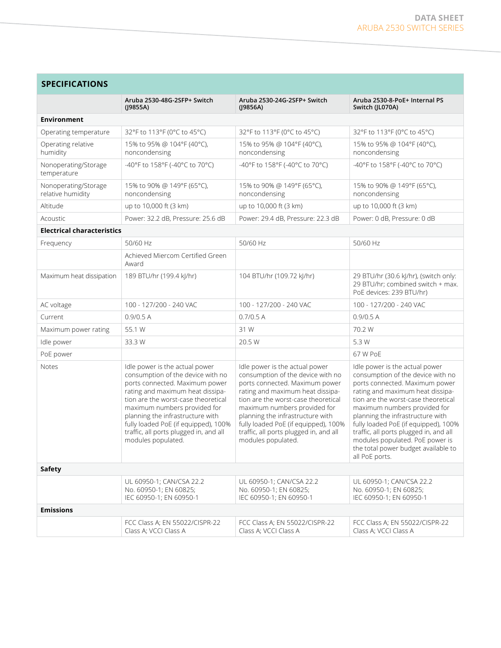| <b>SPECIFICATIONS</b>                     |                                                                                                                                                                                                                                                                                                                                                              |                                                                                                                                                                                                                                                                                                                                                              |                                                                                                                                                                                                                                                                                                                                                                                                                                    |
|-------------------------------------------|--------------------------------------------------------------------------------------------------------------------------------------------------------------------------------------------------------------------------------------------------------------------------------------------------------------------------------------------------------------|--------------------------------------------------------------------------------------------------------------------------------------------------------------------------------------------------------------------------------------------------------------------------------------------------------------------------------------------------------------|------------------------------------------------------------------------------------------------------------------------------------------------------------------------------------------------------------------------------------------------------------------------------------------------------------------------------------------------------------------------------------------------------------------------------------|
|                                           | Aruba 2530-48G-2SFP+ Switch<br>(19855A)                                                                                                                                                                                                                                                                                                                      | Aruba 2530-24G-2SFP+ Switch<br>(19856A)                                                                                                                                                                                                                                                                                                                      | Aruba 2530-8-PoE+ Internal PS<br>Switch (JL070A)                                                                                                                                                                                                                                                                                                                                                                                   |
| <b>Environment</b>                        |                                                                                                                                                                                                                                                                                                                                                              |                                                                                                                                                                                                                                                                                                                                                              |                                                                                                                                                                                                                                                                                                                                                                                                                                    |
| Operating temperature                     | 32°F to 113°F (0°C to 45°C)                                                                                                                                                                                                                                                                                                                                  | 32°F to 113°F (0°C to 45°C)                                                                                                                                                                                                                                                                                                                                  | 32°F to 113°F (0°C to 45°C)                                                                                                                                                                                                                                                                                                                                                                                                        |
| Operating relative<br>humidity            | 15% to 95% @ 104°F (40°C),<br>noncondensing                                                                                                                                                                                                                                                                                                                  | 15% to 95% @ 104°F (40°C),<br>noncondensing                                                                                                                                                                                                                                                                                                                  | 15% to 95% @ 104°F (40°C),<br>noncondensing                                                                                                                                                                                                                                                                                                                                                                                        |
| Nonoperating/Storage<br>temperature       | -40°F to 158°F (-40°C to 70°C)                                                                                                                                                                                                                                                                                                                               | -40°F to 158°F (-40°C to 70°C)                                                                                                                                                                                                                                                                                                                               | -40°F to 158°F (-40°C to 70°C)                                                                                                                                                                                                                                                                                                                                                                                                     |
| Nonoperating/Storage<br>relative humidity | 15% to 90% @ 149°F (65°C),<br>noncondensing                                                                                                                                                                                                                                                                                                                  | 15% to 90% @ 149°F (65°C),<br>noncondensing                                                                                                                                                                                                                                                                                                                  | 15% to 90% @ 149°F (65°C),<br>noncondensing                                                                                                                                                                                                                                                                                                                                                                                        |
| Altitude                                  | up to 10,000 ft (3 km)                                                                                                                                                                                                                                                                                                                                       | up to 10,000 ft (3 km)                                                                                                                                                                                                                                                                                                                                       | up to 10,000 ft (3 km)                                                                                                                                                                                                                                                                                                                                                                                                             |
| Acoustic                                  | Power: 32.2 dB, Pressure: 25.6 dB                                                                                                                                                                                                                                                                                                                            | Power: 29.4 dB, Pressure: 22.3 dB                                                                                                                                                                                                                                                                                                                            | Power: 0 dB, Pressure: 0 dB                                                                                                                                                                                                                                                                                                                                                                                                        |
| <b>Electrical characteristics</b>         |                                                                                                                                                                                                                                                                                                                                                              |                                                                                                                                                                                                                                                                                                                                                              |                                                                                                                                                                                                                                                                                                                                                                                                                                    |
| Frequency                                 | 50/60 Hz                                                                                                                                                                                                                                                                                                                                                     | 50/60 Hz                                                                                                                                                                                                                                                                                                                                                     | 50/60 Hz                                                                                                                                                                                                                                                                                                                                                                                                                           |
|                                           | Achieved Miercom Certified Green<br>Award                                                                                                                                                                                                                                                                                                                    |                                                                                                                                                                                                                                                                                                                                                              |                                                                                                                                                                                                                                                                                                                                                                                                                                    |
| Maximum heat dissipation                  | 189 BTU/hr (199.4 kJ/hr)                                                                                                                                                                                                                                                                                                                                     | 104 BTU/hr (109.72 kJ/hr)                                                                                                                                                                                                                                                                                                                                    | 29 BTU/hr (30.6 kJ/hr), (switch only:<br>29 BTU/hr; combined switch + max.<br>PoE devices: 239 BTU/hr)                                                                                                                                                                                                                                                                                                                             |
| AC voltage                                | 100 - 127/200 - 240 VAC                                                                                                                                                                                                                                                                                                                                      | 100 - 127/200 - 240 VAC                                                                                                                                                                                                                                                                                                                                      | 100 - 127/200 - 240 VAC                                                                                                                                                                                                                                                                                                                                                                                                            |
| Current                                   | 0.9/0.5 A                                                                                                                                                                                                                                                                                                                                                    | 0.7/0.5 A                                                                                                                                                                                                                                                                                                                                                    | 0.9/0.5 A                                                                                                                                                                                                                                                                                                                                                                                                                          |
| Maximum power rating                      | 55.1 W                                                                                                                                                                                                                                                                                                                                                       | 31 W                                                                                                                                                                                                                                                                                                                                                         | 70.2 W                                                                                                                                                                                                                                                                                                                                                                                                                             |
| Idle power                                | 33.3 W                                                                                                                                                                                                                                                                                                                                                       | 20.5 W                                                                                                                                                                                                                                                                                                                                                       | 5.3 W                                                                                                                                                                                                                                                                                                                                                                                                                              |
| PoE power                                 |                                                                                                                                                                                                                                                                                                                                                              |                                                                                                                                                                                                                                                                                                                                                              | 67 W PoE                                                                                                                                                                                                                                                                                                                                                                                                                           |
| Notes                                     | Idle power is the actual power<br>consumption of the device with no<br>ports connected. Maximum power<br>rating and maximum heat dissipa-<br>tion are the worst-case theoretical<br>maximum numbers provided for<br>planning the infrastructure with<br>fully loaded PoE (if equipped), 100%<br>traffic, all ports plugged in, and all<br>modules populated. | Idle power is the actual power<br>consumption of the device with no<br>ports connected. Maximum power<br>rating and maximum heat dissipa-<br>tion are the worst-case theoretical<br>maximum numbers provided for<br>planning the infrastructure with<br>fully loaded PoE (if equipped), 100%<br>traffic, all ports plugged in, and all<br>modules populated. | Idle power is the actual power<br>consumption of the device with no<br>ports connected. Maximum power<br>rating and maximum heat dissipa-<br>tion are the worst-case theoretical<br>maximum numbers provided for<br>planning the infrastructure with<br>fully loaded PoE (if equipped), 100%<br>traffic, all ports plugged in, and all<br>modules populated. PoE power is<br>the total power budget available to<br>all PoE ports. |
| <b>Safety</b>                             |                                                                                                                                                                                                                                                                                                                                                              |                                                                                                                                                                                                                                                                                                                                                              |                                                                                                                                                                                                                                                                                                                                                                                                                                    |
|                                           | UL 60950-1; CAN/CSA 22.2<br>No. 60950-1; EN 60825;<br>IEC 60950-1; EN 60950-1                                                                                                                                                                                                                                                                                | UL 60950-1; CAN/CSA 22.2<br>No. 60950-1; EN 60825;<br>IEC 60950-1; EN 60950-1                                                                                                                                                                                                                                                                                | UL 60950-1; CAN/CSA 22.2<br>No. 60950-1; EN 60825;<br>IEC 60950-1; EN 60950-1                                                                                                                                                                                                                                                                                                                                                      |
| <b>Emissions</b>                          |                                                                                                                                                                                                                                                                                                                                                              |                                                                                                                                                                                                                                                                                                                                                              |                                                                                                                                                                                                                                                                                                                                                                                                                                    |
|                                           | FCC Class A; EN 55022/CISPR-22<br>Class A; VCCI Class A                                                                                                                                                                                                                                                                                                      | FCC Class A; EN 55022/CISPR-22<br>Class A; VCCI Class A                                                                                                                                                                                                                                                                                                      | FCC Class A; EN 55022/CISPR-22<br>Class A; VCCI Class A                                                                                                                                                                                                                                                                                                                                                                            |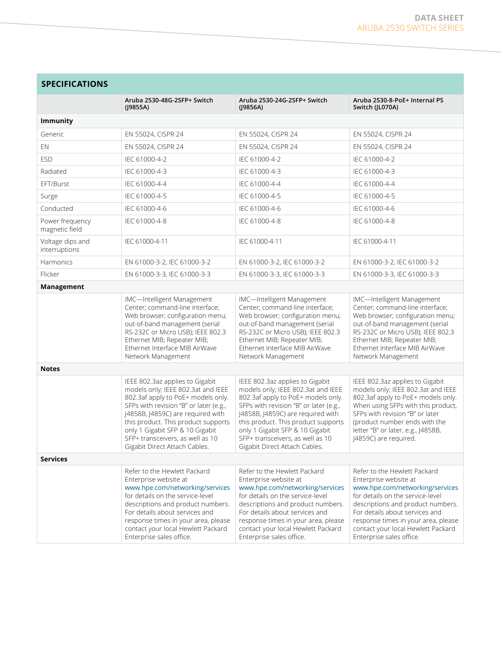| <b>SPECIFICATIONS</b>             |                                                                                                                                                                                                                                                                                                                                           |                                                                                                                                                                                                                                                                                                                                           |                                                                                                                                                                                                                                                                                                              |  |
|-----------------------------------|-------------------------------------------------------------------------------------------------------------------------------------------------------------------------------------------------------------------------------------------------------------------------------------------------------------------------------------------|-------------------------------------------------------------------------------------------------------------------------------------------------------------------------------------------------------------------------------------------------------------------------------------------------------------------------------------------|--------------------------------------------------------------------------------------------------------------------------------------------------------------------------------------------------------------------------------------------------------------------------------------------------------------|--|
|                                   | Aruba 2530-48G-2SFP+ Switch<br>(J9855A)                                                                                                                                                                                                                                                                                                   | Aruba 2530-24G-2SFP+ Switch<br>(19856A)                                                                                                                                                                                                                                                                                                   | Aruba 2530-8-PoE+ Internal PS<br>Switch (JL070A)                                                                                                                                                                                                                                                             |  |
| <b>Immunity</b>                   |                                                                                                                                                                                                                                                                                                                                           |                                                                                                                                                                                                                                                                                                                                           |                                                                                                                                                                                                                                                                                                              |  |
| Generic                           | EN 55024, CISPR 24                                                                                                                                                                                                                                                                                                                        | EN 55024, CISPR 24                                                                                                                                                                                                                                                                                                                        | EN 55024, CISPR 24                                                                                                                                                                                                                                                                                           |  |
| EN                                | EN 55024, CISPR 24                                                                                                                                                                                                                                                                                                                        | EN 55024, CISPR 24                                                                                                                                                                                                                                                                                                                        | EN 55024, CISPR 24                                                                                                                                                                                                                                                                                           |  |
| <b>ESD</b>                        | IEC 61000-4-2                                                                                                                                                                                                                                                                                                                             | IEC 61000-4-2                                                                                                                                                                                                                                                                                                                             | IEC 61000-4-2                                                                                                                                                                                                                                                                                                |  |
| Radiated                          | IEC 61000-4-3                                                                                                                                                                                                                                                                                                                             | IEC 61000-4-3                                                                                                                                                                                                                                                                                                                             | IEC 61000-4-3                                                                                                                                                                                                                                                                                                |  |
| EFT/Burst                         | IEC 61000-4-4                                                                                                                                                                                                                                                                                                                             | IEC 61000-4-4                                                                                                                                                                                                                                                                                                                             | IEC 61000-4-4                                                                                                                                                                                                                                                                                                |  |
| Surge                             | IEC 61000-4-5                                                                                                                                                                                                                                                                                                                             | IEC 61000-4-5                                                                                                                                                                                                                                                                                                                             | IEC 61000-4-5                                                                                                                                                                                                                                                                                                |  |
| Conducted                         | IEC 61000-4-6                                                                                                                                                                                                                                                                                                                             | IEC 61000-4-6                                                                                                                                                                                                                                                                                                                             | IEC 61000-4-6                                                                                                                                                                                                                                                                                                |  |
| Power frequency<br>magnetic field | IEC 61000-4-8                                                                                                                                                                                                                                                                                                                             | IEC 61000-4-8                                                                                                                                                                                                                                                                                                                             | IEC 61000-4-8                                                                                                                                                                                                                                                                                                |  |
| Voltage dips and<br>interruptions | IEC 61000-4-11                                                                                                                                                                                                                                                                                                                            | IEC 61000-4-11                                                                                                                                                                                                                                                                                                                            | IEC 61000-4-11                                                                                                                                                                                                                                                                                               |  |
| Harmonics                         | EN 61000-3-2, IEC 61000-3-2                                                                                                                                                                                                                                                                                                               | EN 61000-3-2, IEC 61000-3-2                                                                                                                                                                                                                                                                                                               | EN 61000-3-2, IEC 61000-3-2                                                                                                                                                                                                                                                                                  |  |
| Flicker                           | EN 61000-3-3, IEC 61000-3-3                                                                                                                                                                                                                                                                                                               | EN 61000-3-3, IEC 61000-3-3                                                                                                                                                                                                                                                                                                               | EN 61000-3-3, IEC 61000-3-3                                                                                                                                                                                                                                                                                  |  |
| Management                        |                                                                                                                                                                                                                                                                                                                                           |                                                                                                                                                                                                                                                                                                                                           |                                                                                                                                                                                                                                                                                                              |  |
|                                   | IMC-Intelligent Management<br>Center; command-line interface;<br>Web browser; configuration menu;<br>out-of-band management (serial<br>RS-232C or Micro USB); IEEE 802.3<br>Ethernet MIB; Repeater MIB;<br>Ethernet Interface MIB AirWave<br>Network Management                                                                           | IMC-Intelligent Management<br>Center; command-line interface;<br>Web browser; configuration menu;<br>out-of-band management (serial<br>RS-232C or Micro USB); IEEE 802.3<br>Ethernet MIB; Repeater MIB;<br>Ethernet Interface MIB AirWave<br>Network Management                                                                           | IMC-Intelligent Management<br>Center; command-line interface;<br>Web browser; configuration menu;<br>out-of-band management (serial<br>RS-232C or Micro USB); IEEE 802.3<br>Ethernet MIB; Repeater MIB;<br>Ethernet Interface MIB AirWave<br>Network Management                                              |  |
| <b>Notes</b>                      |                                                                                                                                                                                                                                                                                                                                           |                                                                                                                                                                                                                                                                                                                                           |                                                                                                                                                                                                                                                                                                              |  |
|                                   | IEEE 802.3az applies to Gigabit<br>models only; IEEE 802.3at and IEEE<br>802.3af apply to PoE+ models only.<br>SFPs with revision "B" or later (e.g.,<br>J4858B, J4859C) are required with<br>this product. This product supports<br>only 1 Gigabit SFP & 10 Gigabit<br>SFP+ transceivers, as well as 10<br>Gigabit Direct Attach Cables. | IEEE 802.3az applies to Gigabit<br>models only; IEEE 802.3at and IEEE<br>802.3af apply to PoE+ models only.<br>SFPs with revision "B" or later (e.g.,<br>J4858B, J4859C) are required with<br>this product. This product supports<br>only 1 Gigabit SFP & 10 Gigabit<br>SFP+ transceivers, as well as 10<br>Gigabit Direct Attach Cables. | IEEE 802.3az applies to Gigabit<br>models only; IEEE 802.3at and IEEE<br>802.3af apply to PoE+ models only.<br>When using SFPs with this product,<br>SFPs with revision "B" or later<br>(product number ends with the<br>letter "B" or later, e.g., J4858B,<br>J4859C) are required.                         |  |
| <b>Services</b>                   |                                                                                                                                                                                                                                                                                                                                           |                                                                                                                                                                                                                                                                                                                                           |                                                                                                                                                                                                                                                                                                              |  |
|                                   | Refer to the Hewlett Packard<br>Enterprise website at<br>www.hpe.com/networking/services<br>for details on the service-level<br>descriptions and product numbers.<br>For details about services and<br>response times in your area, please<br>contact your local Hewlett Packard<br>Enterprise sales office.                              | Refer to the Hewlett Packard<br>Enterprise website at<br>www.hpe.com/networking/services<br>for details on the service-level<br>descriptions and product numbers.<br>For details about services and<br>response times in your area, please<br>contact your local Hewlett Packard<br>Enterprise sales office.                              | Refer to the Hewlett Packard<br>Enterprise website at<br>www.hpe.com/networking/services<br>for details on the service-level<br>descriptions and product numbers.<br>For details about services and<br>response times in your area, please<br>contact your local Hewlett Packard<br>Enterprise sales office. |  |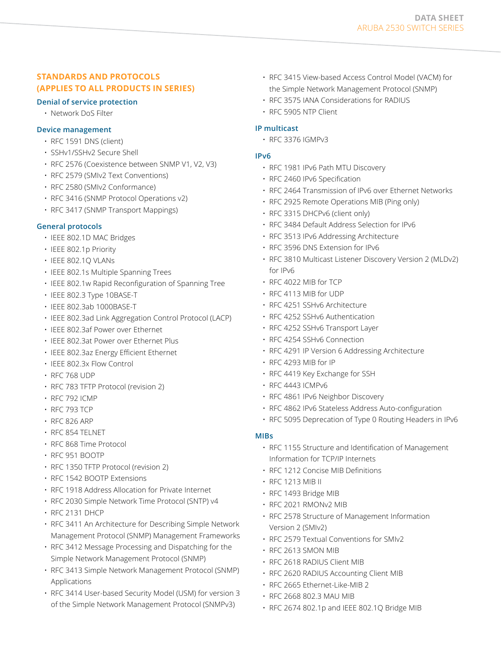# **STANDARDS AND PROTOCOLS (APPLIES TO ALL PRODUCTS IN SERIES)**

#### **Denial of service protection**

• Network DoS Filter

#### **Device management**

- RFC 1591 DNS (client)
- SSHv1/SSHv2 Secure Shell
- RFC 2576 (Coexistence between SNMP V1, V2, V3)
- RFC 2579 (SMIv2 Text Conventions)
- RFC 2580 (SMIv2 Conformance)
- RFC 3416 (SNMP Protocol Operations v2)
- RFC 3417 (SNMP Transport Mappings)

#### **General protocols**

- IEEE 802.1D MAC Bridges
- IEEE 802.1p Priority
- IEEE 802.1Q VLANs
- IEEE 802.1s Multiple Spanning Trees
- IEEE 802.1w Rapid Reconfiguration of Spanning Tree
- IEEE 802.3 Type 10BASE-T
- IEEE 802.3ab 1000BASE-T
- IEEE 802.3ad Link Aggregation Control Protocol (LACP)
- IEEE 802.3af Power over Ethernet
- IEEE 802.3at Power over Ethernet Plus
- IEEE 802.3az Energy Efficient Ethernet
- IEEE 802.3x Flow Control
- RFC 768 UDP
- RFC 783 TFTP Protocol (revision 2)
- RFC 792 ICMP
- RFC 793 TCP
- RFC 826 ARP
- RFC 854 TELNET
- RFC 868 Time Protocol
- RFC 951 BOOTP
- RFC 1350 TFTP Protocol (revision 2)
- RFC 1542 BOOTP Extensions
- RFC 1918 Address Allocation for Private Internet
- RFC 2030 Simple Network Time Protocol (SNTP) v4
- RFC 2131 DHCP
- RFC 3411 An Architecture for Describing Simple Network Management Protocol (SNMP) Management Frameworks
- RFC 3412 Message Processing and Dispatching for the Simple Network Management Protocol (SNMP)
- RFC 3413 Simple Network Management Protocol (SNMP) Applications
- RFC 3414 User-based Security Model (USM) for version 3 of the Simple Network Management Protocol (SNMPv3)
- RFC 3415 View-based Access Control Model (VACM) for the Simple Network Management Protocol (SNMP)
- RFC 3575 IANA Considerations for RADIUS
- RFC 5905 NTP Client

#### **IP multicast**

• RFC 3376 IGMPv3

#### **IPv6**

- RFC 1981 IPv6 Path MTU Discovery
- RFC 2460 IPv6 Specification
- RFC 2464 Transmission of IPv6 over Ethernet Networks
- RFC 2925 Remote Operations MIB (Ping only)
- RFC 3315 DHCPv6 (client only)
- RFC 3484 Default Address Selection for IPv6
- RFC 3513 IPv6 Addressing Architecture
- RFC 3596 DNS Extension for IPv6
- RFC 3810 Multicast Listener Discovery Version 2 (MLDv2) for IPv6
- RFC 4022 MIB for TCP
- RFC 4113 MIB for UDP
- RFC 4251 SSHv6 Architecture
- RFC 4252 SSHv6 Authentication
- RFC 4252 SSHv6 Transport Layer
- RFC 4254 SSHv6 Connection
- RFC 4291 IP Version 6 Addressing Architecture
- RFC 4293 MIB for IP
- RFC 4419 Key Exchange for SSH
- RFC 4443 ICMPv6
- RFC 4861 IPv6 Neighbor Discovery
- RFC 4862 IPv6 Stateless Address Auto-configuration
- RFC 5095 Deprecation of Type 0 Routing Headers in IPv6

#### **MIBs**

- RFC 1155 Structure and Identification of Management Information for TCP/IP Internets
- RFC 1212 Concise MIB Definitions
- RFC 1213 MIB II
- RFC 1493 Bridge MIB
- RFC 2021 RMONv2 MIB
- RFC 2578 Structure of Management Information Version 2 (SMIv2)
- RFC 2579 Textual Conventions for SMIv2
- RFC 2613 SMON MIB
- RFC 2618 RADIUS Client MIB
- RFC 2620 RADIUS Accounting Client MIB
- RFC 2665 Ethernet-Like-MIB 2
- RFC 2668 802.3 MAU MIB
- RFC 2674 802.1p and IEEE 802.1Q Bridge MIB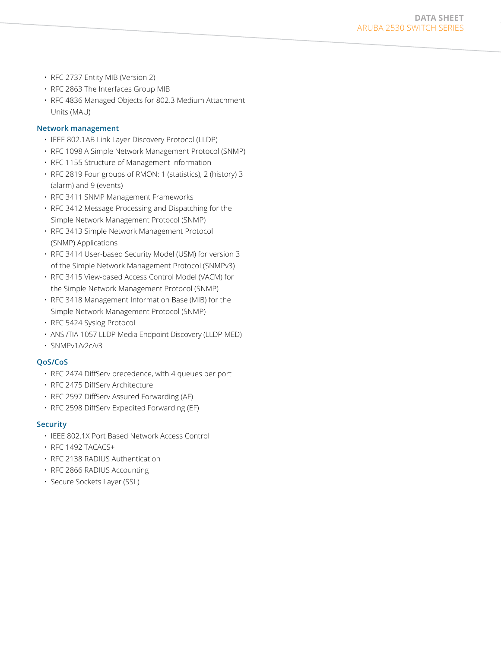- RFC 2737 Entity MIB (Version 2)
- RFC 2863 The Interfaces Group MIB
- RFC 4836 Managed Objects for 802.3 Medium Attachment Units (MAU)

#### **Network management**

- IEEE 802.1AB Link Layer Discovery Protocol (LLDP)
- RFC 1098 A Simple Network Management Protocol (SNMP)
- RFC 1155 Structure of Management Information
- RFC 2819 Four groups of RMON: 1 (statistics), 2 (history) 3 (alarm) and 9 (events)
- RFC 3411 SNMP Management Frameworks
- RFC 3412 Message Processing and Dispatching for the Simple Network Management Protocol (SNMP)
- RFC 3413 Simple Network Management Protocol (SNMP) Applications
- RFC 3414 User-based Security Model (USM) for version 3 of the Simple Network Management Protocol (SNMPv3)
- RFC 3415 View-based Access Control Model (VACM) for the Simple Network Management Protocol (SNMP)
- RFC 3418 Management Information Base (MIB) for the Simple Network Management Protocol (SNMP)
- RFC 5424 Syslog Protocol
- ANSI/TIA-1057 LLDP Media Endpoint Discovery (LLDP-MED)
- SNMPv1/v2c/v3

#### **QoS/CoS**

- RFC 2474 DiffServ precedence, with 4 queues per port
- RFC 2475 DiffServ Architecture
- RFC 2597 DiffServ Assured Forwarding (AF)
- RFC 2598 DiffServ Expedited Forwarding (EF)

#### **Security**

- IEEE 802.1X Port Based Network Access Control
- RFC 1492 TACACS+
- RFC 2138 RADIUS Authentication
- RFC 2866 RADIUS Accounting
- Secure Sockets Layer (SSL)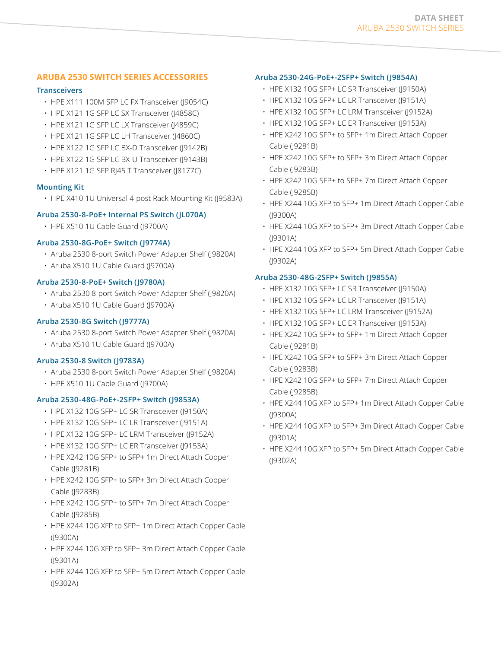# **ARUBA 2530 SWITCH SERIES ACCESSORIES**

#### **Transceivers**

- HPE X111 100M SFP LC FX Transceiver (J9054C)
- HPE X121 1G SFP LC SX Transceiver (J4858C)
- HPE X121 1G SFP LC LX Transceiver (J4859C)
- HPE X121 1G SFP LC LH Transceiver (J4860C)
- HPE X122 1G SFP LC BX-D Transceiver (J9142B)
- HPE X122 1G SFP LC BX-U Transceiver (J9143B)
- HPE X121 1G SFP RJ45 T Transceiver (J8177C)

#### **Mounting Kit**

• HPE X410 1U Universal 4-post Rack Mounting Kit (J9583A)

# **Aruba 2530-8-PoE+ Internal PS Switch (JL070A)**

• HPE X510 1U Cable Guard (19700A)

#### **Aruba 2530-8G-PoE+ Switch (J9774A)**

- Aruba 2530 8-port Switch Power Adapter Shelf (J9820A)
- Aruba X510 1U Cable Guard (J9700A)

#### **Aruba 2530-8-PoE+ Switch (J9780A)**

- Aruba 2530 8-port Switch Power Adapter Shelf (J9820A)
- Aruba X510 1U Cable Guard (J9700A)

## **Aruba 2530-8G Switch (J9777A)**

- Aruba 2530 8-port Switch Power Adapter Shelf (J9820A)
- Aruba X510 1U Cable Guard (J9700A)

#### **Aruba 2530-8 Switch (J9783A)**

- Aruba 2530 8-port Switch Power Adapter Shelf (J9820A)
- HPE X510 1U Cable Guard (19700A)

#### **Aruba 2530-48G-PoE+-2SFP+ Switch (J9853A)**

- HPE X132 10G SFP+ LC SR Transceiver (J9150A)
- HPE X132 10G SFP+ LC LR Transceiver (J9151A)
- HPE X132 10G SFP+ LC LRM Transceiver (J9152A)
- HPE X132 10G SFP+ LC ER Transceiver (J9153A)
- HPE X242 10G SFP+ to SFP+ 1m Direct Attach Copper Cable (J9281B)
- HPE X242 10G SFP+ to SFP+ 3m Direct Attach Copper Cable (J9283B)
- HPE X242 10G SFP+ to SFP+ 7m Direct Attach Copper Cable (J9285B)
- HPE X244 10G XFP to SFP+ 1m Direct Attach Copper Cable (J9300A)
- HPE X244 10G XFP to SFP+ 3m Direct Attach Copper Cable (J9301A)
- HPE X244 10G XFP to SFP+ 5m Direct Attach Copper Cable (J9302A)

# **Aruba 2530-24G-PoE+-2SFP+ Switch (J9854A)**

- HPE X132 10G SFP+ LC SR Transceiver (J9150A)
- HPE X132 10G SFP+ LC LR Transceiver (J9151A)
- HPE X132 10G SFP+ LC LRM Transceiver (J9152A)
- HPE X132 10G SFP+ LC ER Transceiver (J9153A)
- HPE X242 10G SFP+ to SFP+ 1m Direct Attach Copper Cable (J9281B)
- HPE X242 10G SFP+ to SFP+ 3m Direct Attach Copper Cable (J9283B)
- HPE X242 10G SFP+ to SFP+ 7m Direct Attach Copper Cable (J9285B)
- HPE X244 10G XFP to SFP+ 1m Direct Attach Copper Cable (J9300A)
- HPE X244 10G XFP to SFP+ 3m Direct Attach Copper Cable (J9301A)
- HPE X244 10G XFP to SFP+ 5m Direct Attach Copper Cable (J9302A)

# **Aruba 2530-48G-2SFP+ Switch (J9855A)**

- HPE X132 10G SFP+ LC SR Transceiver (J9150A)
- HPE X132 10G SFP+ LC LR Transceiver (J9151A)
- HPE X132 10G SFP+ LC LRM Transceiver (19152A)
- HPE X132 10G SFP+ LC ER Transceiver (J9153A)
- HPE X242 10G SFP+ to SFP+ 1m Direct Attach Copper Cable (J9281B)
- HPE X242 10G SFP+ to SFP+ 3m Direct Attach Copper Cable (J9283B)
- HPE X242 10G SFP+ to SFP+ 7m Direct Attach Copper Cable (J9285B)
- HPE X244 10G XFP to SFP+ 1m Direct Attach Copper Cable (J9300A)
- HPE X244 10G XFP to SFP+ 3m Direct Attach Copper Cable (J9301A)
- HPE X244 10G XFP to SFP+ 5m Direct Attach Copper Cable (J9302A)